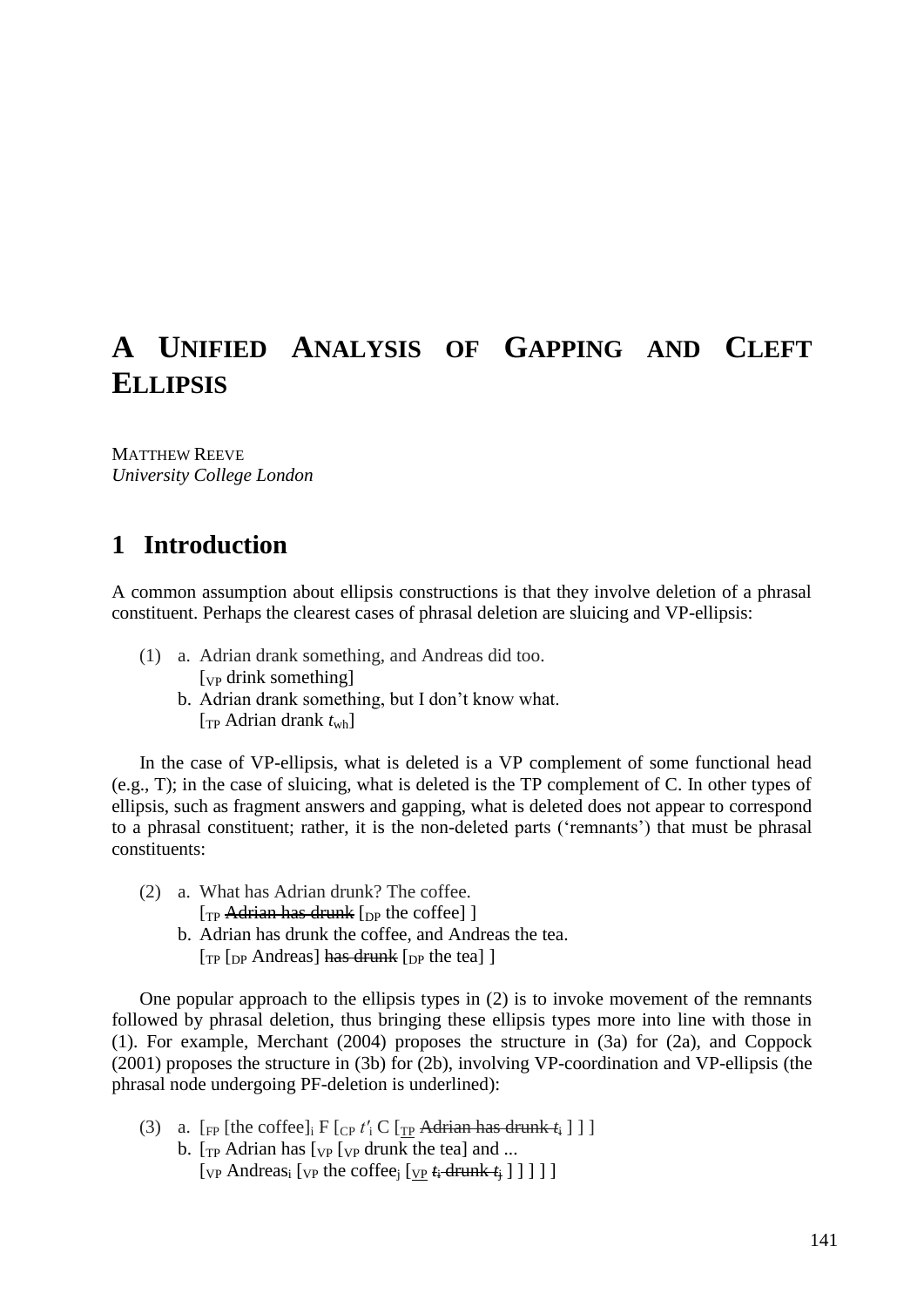# **A UNIFIED ANALYSIS OF GAPPING AND CLEFT ELLIPSIS**

MATTHEW REEVE *University College London*

# **1** Introduction

A common assumption about ellipsis constructions is that they involve deletion of a phrasal constituent. Perhaps the clearest cases of phrasal deletion are sluicing and VP-ellipsis:

- <span id="page-0-1"></span>(1) a. Adrian drank something, and Andreas did too. [<sub>VP</sub> drink something]
	- b. Adrian drank something, but I don't know what. [TP Adrian drank *t*wh]

In the case of VP-ellipsis, what is deleted is a VP complement of some functional head (e.g., T); in the case of sluicing, what is deleted is the TP complement of C. In other types of ellipsis, such as fragment answers and gapping, what is deleted does not appear to correspond to a phrasal constituent; rather, it is the non-deleted parts ('remnants') that must be phrasal constituents:

<span id="page-0-0"></span>(2) a. What has Adrian drunk? The coffee.

 $[T_P \text{Adrian has drumk } [$ <sub>DP</sub> the coffee] ]

b. Adrian has drunk the coffee, and Andreas the tea.  $[T_{\rm P}$  [<sub>DP</sub> Andreas] has drunk [<sub>DP</sub> the tea] ]

One popular approach to the ellipsis types in [\(2\)](#page-0-0) is to invoke movement of the remnants followed by phrasal deletion, thus bringing these ellipsis types more into line with those in [\(1\)](#page-0-1). For example, Merchant (2004) proposes the structure in [\(3a](#page-0-2)) for [\(2a](#page-0-0)), and Coppock (2001) proposes the structure in [\(3b](#page-0-2)) for [\(2b](#page-0-0)), involving VP-coordination and VP-ellipsis (the phrasal node undergoing PF-deletion is underlined):

- <span id="page-0-2"></span>(3) a.  $[\text{FP}]$  [the coffee]<sub>i</sub> F  $[\text{CP } t'_i \text{ C } [\text{TP } \text{Adrian has drumk } t_i ] ]$ ]
	- b.  $[T_{\rm P}$  Adrian has  $[T_{\rm VP}$  drunk the tea] and ...  $[\text{vp}$  Andreas<sub>i</sub>  $[\text{vp}$  the coffee<sub>j</sub>  $[\text{vp}$   $t_i$  drunk  $t_i$  ] ] ] ]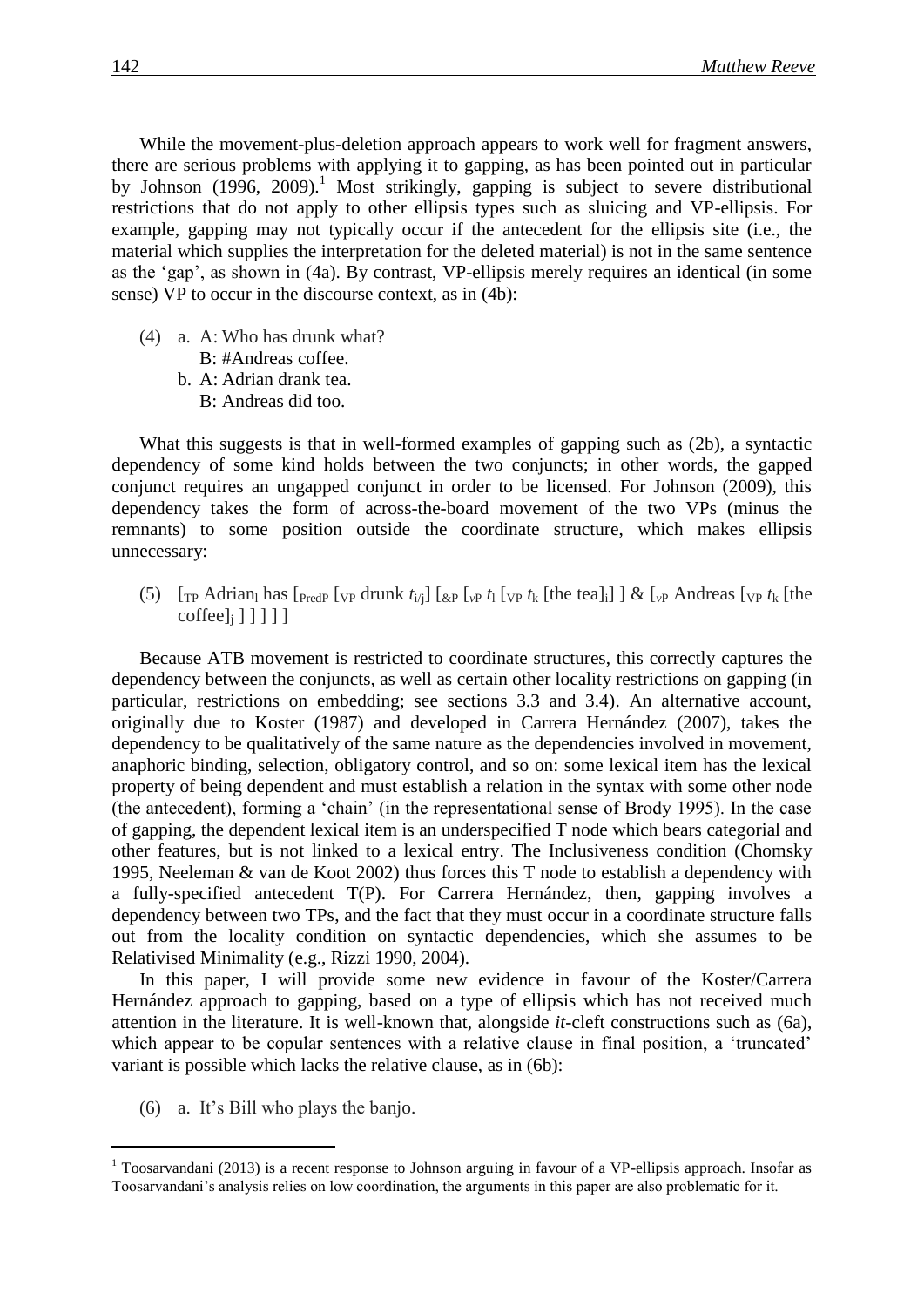While the movement-plus-deletion approach appears to work well for fragment answers, there are serious problems with applying it to gapping, as has been pointed out in particular by Johnson  $(1996, 2009)$ .<sup>1</sup> Most strikingly, gapping is subject to severe distributional restrictions that do not apply to other ellipsis types such as sluicing and VP-ellipsis. For example, gapping may not typically occur if the antecedent for the ellipsis site (i.e., the material which supplies the interpretation for the deleted material) is not in the same sentence as the 'gap', as shown in [\(4a](#page-1-0)). By contrast, VP-ellipsis merely requires an identical (in some sense) VP to occur in the discourse context, as in [\(4b](#page-1-0)):

- <span id="page-1-0"></span>(4) a. A: Who has drunk what? B: #Andreas coffee.
	- b. A: Adrian drank tea. B: Andreas did too.

What this suggests is that in well-formed examples of gapping such as [\(2b](#page-0-0)), a syntactic dependency of some kind holds between the two conjuncts; in other words, the gapped conjunct requires an ungapped conjunct in order to be licensed. For Johnson (2009), this dependency takes the form of across-the-board movement of the two VPs (minus the remnants) to some position outside the coordinate structure, which makes ellipsis unnecessary:

(5)  $\left[\text{Tr}\text{Adrian}_l\text{ has }\text{[Predp [vp drumk }t_{i/}]\right]\left[\text{&P [vp }t_l\right]\left[\text{vP }t_k\right]$  [the tea]<sub>i</sub>] ] &  $\left[\text{vP Andreas }[\text{vP }t_k\right]\right]$  $\text{cofree}_i$ ] ] ] ] ]

Because ATB movement is restricted to coordinate structures, this correctly captures the dependency between the conjuncts, as well as certain other locality restrictions on gapping (in particular, restrictions on embedding; see sections 3.3 and 3.4). An alternative account, originally due to Koster (1987) and developed in Carrera Hernández (2007), takes the dependency to be qualitatively of the same nature as the dependencies involved in movement, anaphoric binding, selection, obligatory control, and so on: some lexical item has the lexical property of being dependent and must establish a relation in the syntax with some other node (the antecedent), forming a 'chain' (in the representational sense of Brody 1995). In the case of gapping, the dependent lexical item is an underspecified T node which bears categorial and other features, but is not linked to a lexical entry. The Inclusiveness condition (Chomsky 1995, Neeleman & van de Koot 2002) thus forces this T node to establish a dependency with a fully-specified antecedent T(P). For Carrera Hernández, then, gapping involves a dependency between two TPs, and the fact that they must occur in a coordinate structure falls out from the locality condition on syntactic dependencies, which she assumes to be Relativised Minimality (e.g., Rizzi 1990, 2004).

In this paper, I will provide some new evidence in favour of the Koster/Carrera Hernández approach to gapping, based on a type of ellipsis which has not received much attention in the literature. It is well-known that, alongside *it*-cleft constructions such as [\(6a](#page-1-1)), which appear to be copular sentences with a relative clause in final position, a 'truncated' variant is possible which lacks the relative clause, as in [\(6b](#page-1-1)):

<span id="page-1-1"></span>(6) a. It's Bill who plays the banjo.

 $1$  Toosarvandani (2013) is a recent response to Johnson arguing in favour of a VP-ellipsis approach. Insofar as Toosarvandani's analysis relies on low coordination, the arguments in this paper are also problematic for it.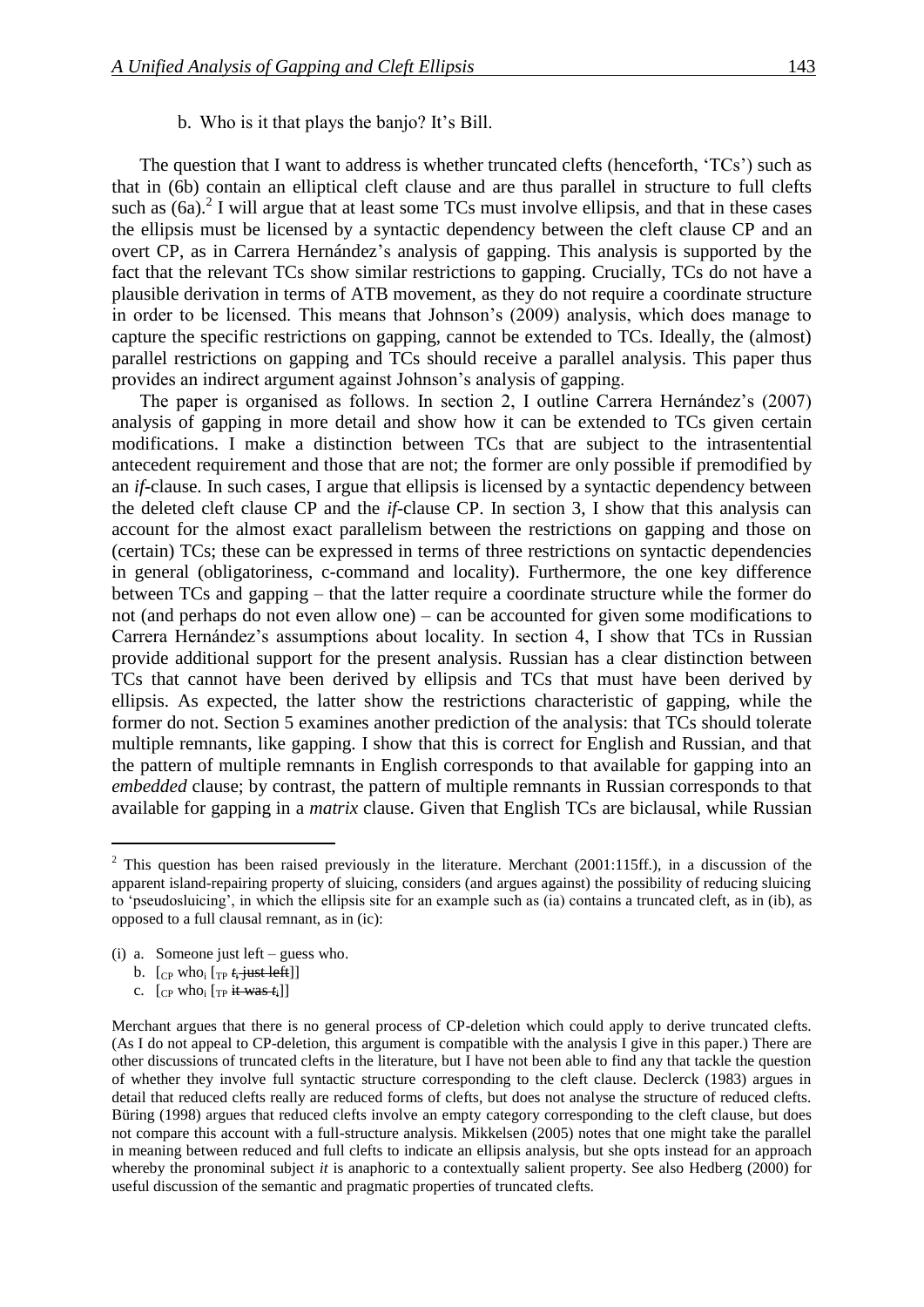#### b. Who is it that plays the banjo? It's Bill.

The question that I want to address is whether truncated clefts (henceforth, 'TCs') such as that in [\(6b](#page-1-1)) contain an elliptical cleft clause and are thus parallel in structure to full clefts such as  $(6a)$  $(6a)$ .<sup>2</sup> I will argue that at least some TCs must involve ellipsis, and that in these cases the ellipsis must be licensed by a syntactic dependency between the cleft clause CP and an overt CP, as in Carrera Hernández's analysis of gapping. This analysis is supported by the fact that the relevant TCs show similar restrictions to gapping. Crucially, TCs do not have a plausible derivation in terms of ATB movement, as they do not require a coordinate structure in order to be licensed. This means that Johnson's (2009) analysis, which does manage to capture the specific restrictions on gapping, cannot be extended to TCs. Ideally, the (almost) parallel restrictions on gapping and TCs should receive a parallel analysis. This paper thus provides an indirect argument against Johnson's analysis of gapping.

The paper is organised as follows. In section 2, I outline Carrera Hernández's (2007) analysis of gapping in more detail and show how it can be extended to TCs given certain modifications. I make a distinction between TCs that are subject to the intrasentential antecedent requirement and those that are not; the former are only possible if premodified by an *if*-clause. In such cases, I argue that ellipsis is licensed by a syntactic dependency between the deleted cleft clause CP and the *if*-clause CP. In section 3, I show that this analysis can account for the almost exact parallelism between the restrictions on gapping and those on (certain) TCs; these can be expressed in terms of three restrictions on syntactic dependencies in general (obligatoriness, c-command and locality). Furthermore, the one key difference between TCs and gapping – that the latter require a coordinate structure while the former do not (and perhaps do not even allow one) – can be accounted for given some modifications to Carrera Hernández's assumptions about locality. In section 4, I show that TCs in Russian provide additional support for the present analysis. Russian has a clear distinction between TCs that cannot have been derived by ellipsis and TCs that must have been derived by ellipsis. As expected, the latter show the restrictions characteristic of gapping, while the former do not. Section 5 examines another prediction of the analysis: that TCs should tolerate multiple remnants, like gapping. I show that this is correct for English and Russian, and that the pattern of multiple remnants in English corresponds to that available for gapping into an *embedded* clause; by contrast, the pattern of multiple remnants in Russian corresponds to that available for gapping in a *matrix* clause. Given that English TCs are biclausal, while Russian

- (i) a. Someone just left guess who.
	- b.  $\left[\right]$ <sub>CP</sub> who<sub>i</sub>  $\left[\right]$ <sub>TP</sub>  $t_i$  just left]

c.  $[$ <sub>CP</sub> who<sub>i</sub>  $[$ <sub>TP</sub> it was  $t_i$ ]]

 $2$  This question has been raised previously in the literature. Merchant (2001:115ff.), in a discussion of the apparent island-repairing property of sluicing, considers (and argues against) the possibility of reducing sluicing to 'pseudosluicing', in which the ellipsis site for an example such as (ia) contains a truncated cleft, as in (ib), as opposed to a full clausal remnant, as in (ic):

Merchant argues that there is no general process of CP-deletion which could apply to derive truncated clefts. (As I do not appeal to CP-deletion, this argument is compatible with the analysis I give in this paper.) There are other discussions of truncated clefts in the literature, but I have not been able to find any that tackle the question of whether they involve full syntactic structure corresponding to the cleft clause. Declerck (1983) argues in detail that reduced clefts really are reduced forms of clefts, but does not analyse the structure of reduced clefts. Büring (1998) argues that reduced clefts involve an empty category corresponding to the cleft clause, but does not compare this account with a full-structure analysis. Mikkelsen (2005) notes that one might take the parallel in meaning between reduced and full clefts to indicate an ellipsis analysis, but she opts instead for an approach whereby the pronominal subject *it* is anaphoric to a contextually salient property. See also Hedberg (2000) for useful discussion of the semantic and pragmatic properties of truncated clefts.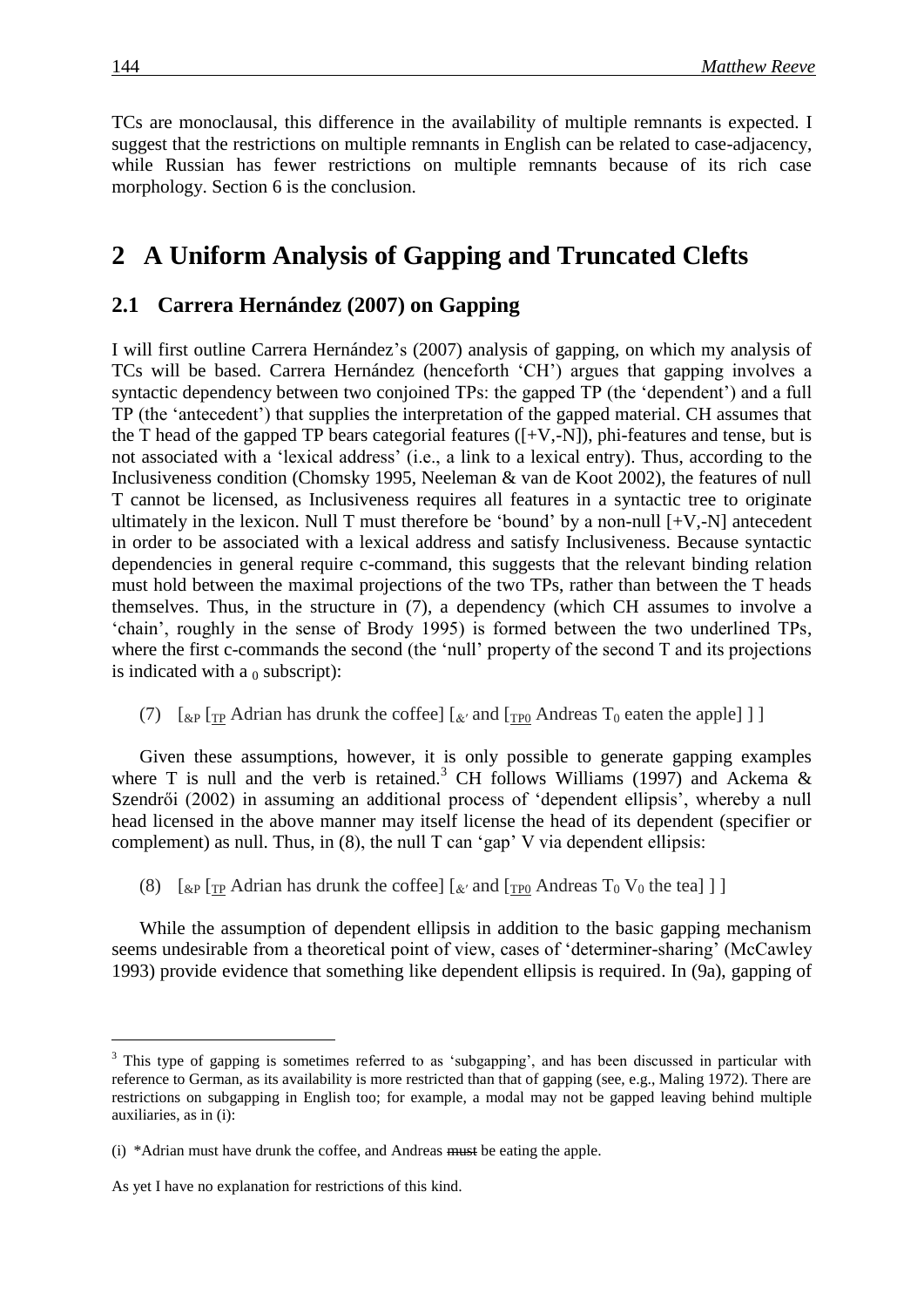TCs are monoclausal, this difference in the availability of multiple remnants is expected. I suggest that the restrictions on multiple remnants in English can be related to case-adjacency, while Russian has fewer restrictions on multiple remnants because of its rich case morphology. Section 6 is the conclusion.

## 2 A Uniform Analysis of Gapping and Truncated Clefts

### **2.1**xx**Carrera Hernández (2007) on Gapping**

I will first outline Carrera Hernández's (2007) analysis of gapping, on which my analysis of TCs will be based. Carrera Hernández (henceforth 'CH') argues that gapping involves a syntactic dependency between two conjoined TPs: the gapped TP (the 'dependent') and a full TP (the 'antecedent') that supplies the interpretation of the gapped material. CH assumes that the T head of the gapped TP bears categorial features  $([+V,-N])$ , phi-features and tense, but is not associated with a 'lexical address' (i.e., a link to a lexical entry). Thus, according to the Inclusiveness condition (Chomsky 1995, Neeleman & van de Koot 2002), the features of null T cannot be licensed, as Inclusiveness requires all features in a syntactic tree to originate ultimately in the lexicon. Null T must therefore be 'bound' by a non-null  $[+V,-N]$  antecedent in order to be associated with a lexical address and satisfy Inclusiveness. Because syntactic dependencies in general require c-command, this suggests that the relevant binding relation must hold between the maximal projections of the two TPs, rather than between the T heads themselves. Thus, in the structure in [\(7\)](#page-3-0), a dependency (which CH assumes to involve a 'chain', roughly in the sense of Brody 1995) is formed between the two underlined TPs, where the first c-commands the second (the 'null' property of the second T and its projections is indicated with a  $<sub>0</sub>$  subscript):</sub>

<span id="page-3-0"></span>(7)  $\left[\begin{array}{cc} \exp\left[\frac{\pi P}{\Delta t}\right] & \exp\left[\frac{\pi P}{\Delta t}\right] & \exp\left[\frac{\pi P}{\Delta t}\right] & \exp\left[\frac{\pi P}{\Delta t}\right] & \exp\left[\frac{\pi P}{\Delta t}\right] & \exp\left[\frac{\pi P}{\Delta t}\right] & \exp\left[\frac{\pi P}{\Delta t}\right] & \exp\left[\frac{\pi P}{\Delta t}\right] & \exp\left[\frac{\pi P}{\Delta t}\right] & \exp\left[\frac{\pi P}{\Delta t}\right] & \exp\left[\frac{\pi P}{\Delta t}\right] & \exp\left[\frac{\pi P}{\Delta t}\right] & \exp\$ 

Given these assumptions, however, it is only possible to generate gapping examples where T is null and the verb is retained.<sup>3</sup> CH follows Williams (1997) and Ackema & Szendrői (2002) in assuming an additional process of 'dependent ellipsis', whereby a null head licensed in the above manner may itself license the head of its dependent (specifier or complement) as null. Thus, in [\(8\)](#page-3-1), the null T can 'gap' V via dependent ellipsis:

<span id="page-3-1"></span>(8)  $\left[\begin{array}{cc} \exp\left[\begin{array}{cc} \exp\left[\begin{array}{cc} \exp\left[\begin{array}{cc} \exp\left[\begin{array}{c} \exp\left[\begin{array}{c} \exp\left[\begin{array}{c} \exp\left[\text{O}\right] \right] \right] \end{array} \right] \end{array} \right] \end{array} \right] & \exp\left[\begin{array}{cc} \exp\left[\begin{array}{cc} \exp\left[\text{O}\left[\text{O}\right] \right] \end{array} \right] \end{array} \right] \end{array} \right] \end{array} \right]$ 

While the assumption of dependent ellipsis in addition to the basic gapping mechanism seems undesirable from a theoretical point of view, cases of 'determiner-sharing' (McCawley 1993) provide evidence that something like dependent ellipsis is required. In [\(9a](#page-4-0)), gapping of

<sup>&</sup>lt;sup>3</sup> This type of gapping is sometimes referred to as 'subgapping', and has been discussed in particular with reference to German, as its availability is more restricted than that of gapping (see, e.g., Maling 1972). There are restrictions on subgapping in English too; for example, a modal may not be gapped leaving behind multiple auxiliaries, as in (i):

<sup>(</sup>i) \*Adrian must have drunk the coffee, and Andreas must be eating the apple.

As yet I have no explanation for restrictions of this kind.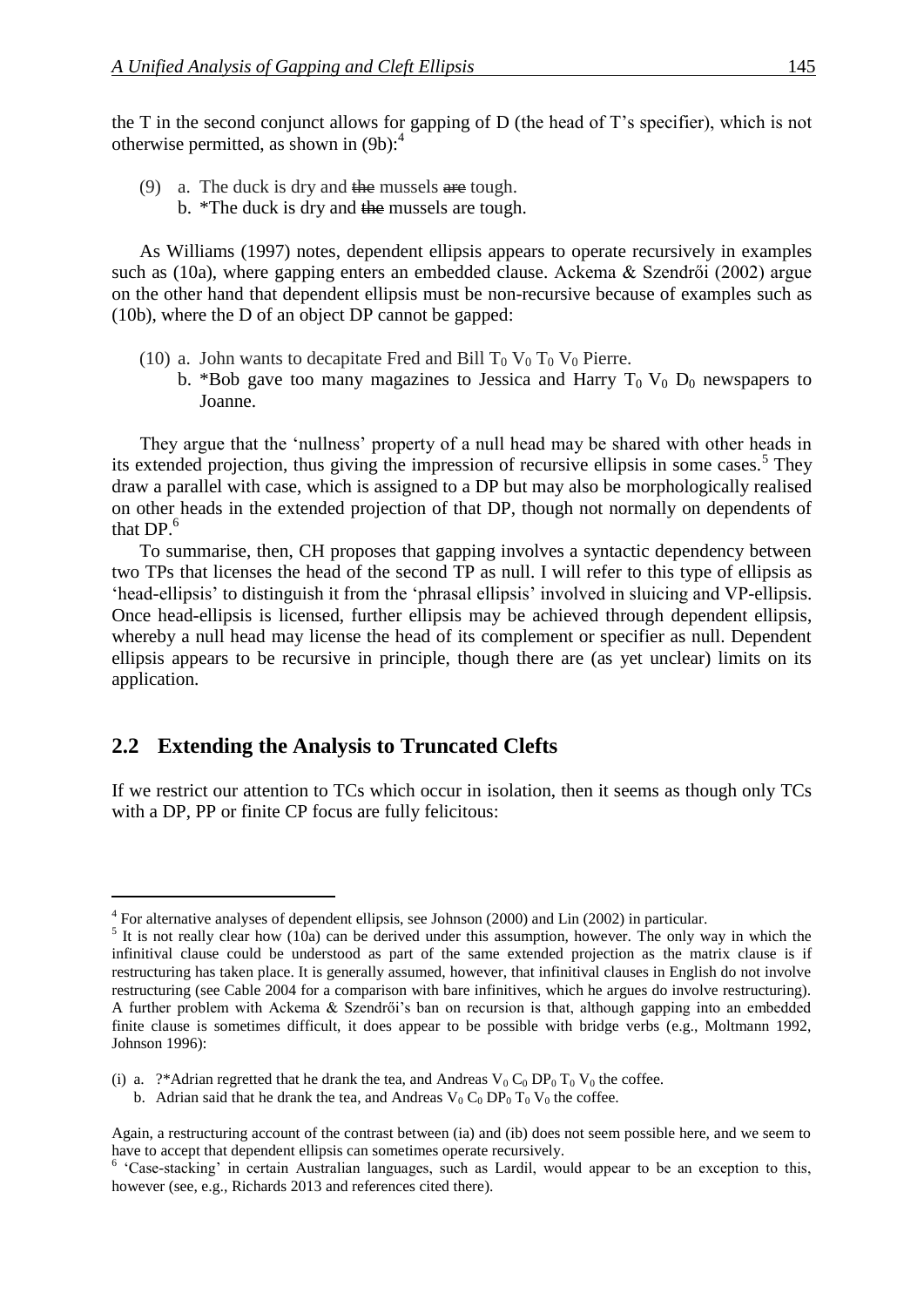the T in the second conjunct allows for gapping of D (the head of T's specifier), which is not otherwise permitted, as shown in [\(9b](#page-4-0)):<sup>4</sup>

- <span id="page-4-0"></span>(9) a. The duck is dry and the mussels are tough.
	- b. \*The duck is dry and the mussels are tough.

As Williams (1997) notes, dependent ellipsis appears to operate recursively in examples such as [\(10a](#page-4-1)), where gapping enters an embedded clause. Ackema & Szendrői (2002) argue on the other hand that dependent ellipsis must be non-recursive because of examples such as [\(10b](#page-4-1)), where the D of an object DP cannot be gapped:

- <span id="page-4-1"></span>(10) a. John wants to decapitate Fred and Bill  $T_0 V_0 T_0 V_0$  Pierre.
	- b. \*Bob gave too many magazines to Jessica and Harry  $T_0$  V<sub>0</sub> D<sub>0</sub> newspapers to Joanne.

They argue that the 'nullness' property of a null head may be shared with other heads in its extended projection, thus giving the impression of recursive ellipsis in some cases.<sup>5</sup> They draw a parallel with case, which is assigned to a DP but may also be morphologically realised on other heads in the extended projection of that DP, though not normally on dependents of that  $DP<sup>6</sup>$ 

To summarise, then, CH proposes that gapping involves a syntactic dependency between two TPs that licenses the head of the second TP as null. I will refer to this type of ellipsis as 'head-ellipsis' to distinguish it from the 'phrasal ellipsis' involved in sluicing and VP-ellipsis. Once head-ellipsis is licensed, further ellipsis may be achieved through dependent ellipsis, whereby a null head may license the head of its complement or specifier as null. Dependent ellipsis appears to be recursive in principle, though there are (as yet unclear) limits on its application.

### **2.2**xx**Extending the Analysis to Truncated Clefts**

If we restrict our attention to TCs which occur in isolation, then it seems as though only TCs with a DP, PP or finite CP focus are fully felicitous:

<sup>&</sup>lt;sup>4</sup> For alternative analyses of dependent ellipsis, see Johnson (2000) and Lin (2002) in particular.

 $<sup>5</sup>$  It is not really clear how [\(10a](#page-4-1)) can be derived under this assumption, however. The only way in which the</sup> infinitival clause could be understood as part of the same extended projection as the matrix clause is if restructuring has taken place. It is generally assumed, however, that infinitival clauses in English do not involve restructuring (see Cable 2004 for a comparison with bare infinitives, which he argues do involve restructuring). A further problem with Ackema & Szendrői's ban on recursion is that, although gapping into an embedded finite clause is sometimes difficult, it does appear to be possible with bridge verbs (e.g., Moltmann 1992, Johnson 1996):

<sup>(</sup>i) a. ?\*Adrian regretted that he drank the tea, and Andreas  $V_0 C_0 D P_0 T_0 V_0$  the coffee.

b. Adrian said that he drank the tea, and Andreas  $V_0 C_0 D P_0 T_0 V_0$  the coffee.

Again, a restructuring account of the contrast between (ia) and (ib) does not seem possible here, and we seem to have to accept that dependent ellipsis can sometimes operate recursively.

<sup>&</sup>lt;sup>6</sup> 'Case-stacking' in certain Australian languages, such as Lardil, would appear to be an exception to this, however (see, e.g., Richards 2013 and references cited there).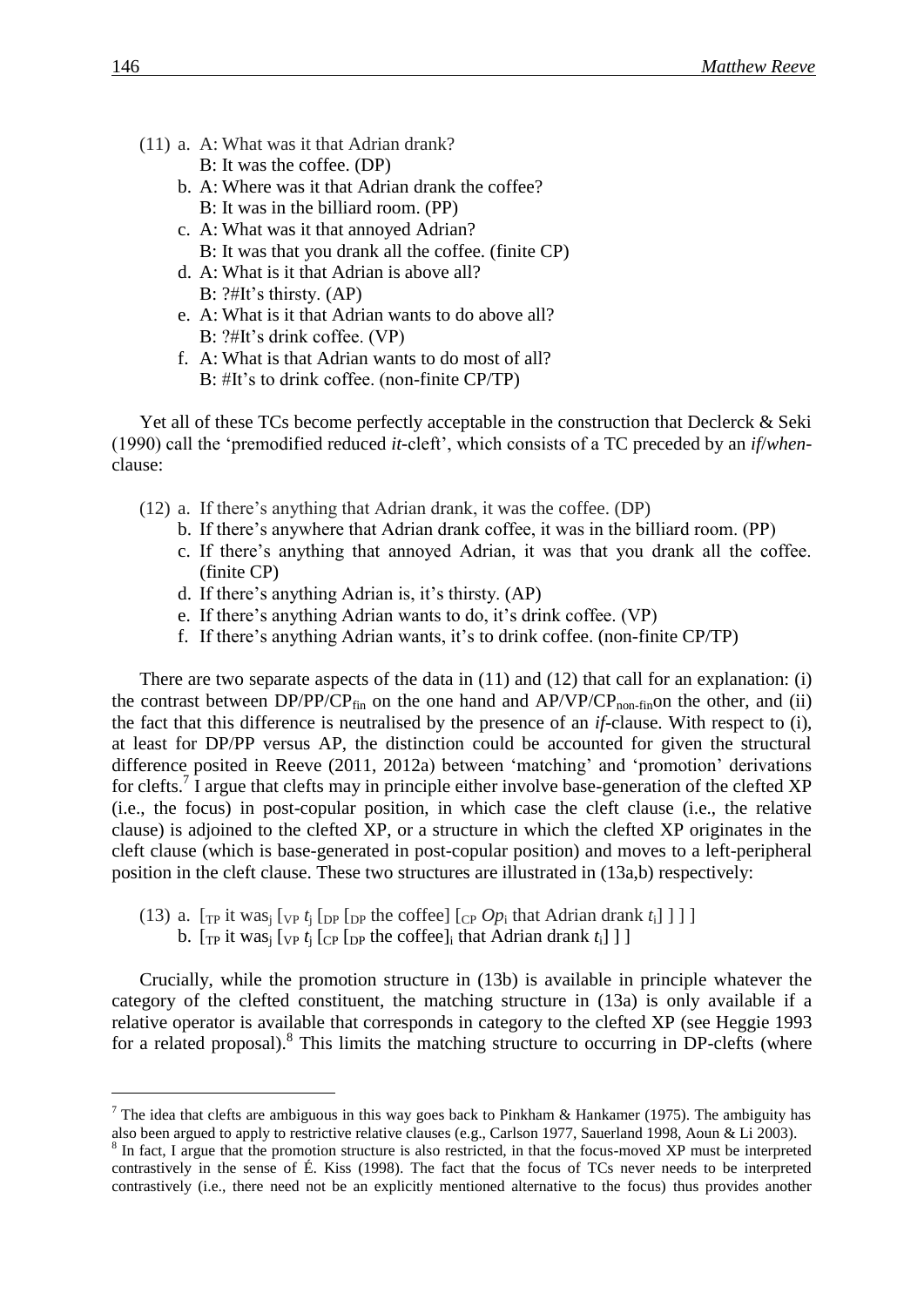- <span id="page-5-0"></span>(11) a. A: What was it that Adrian drank? B: It was the coffee. (DP)
	- b. A: Where was it that Adrian drank the coffee? B: It was in the billiard room. (PP)
	- c. A: What was it that annoyed Adrian? B: It was that you drank all the coffee. (finite CP)
	- d. A: What is it that Adrian is above all?
	- B: ?#It's thirsty. (AP) e. A: What is it that Adrian wants to do above all?
		- B: ?#It's drink coffee. (VP)
	- f. A: What is that Adrian wants to do most of all? B: #It's to drink coffee. (non-finite CP/TP)

Yet all of these TCs become perfectly acceptable in the construction that Declerck & Seki (1990) call the 'premodified reduced *it*-cleft', which consists of a TC preceded by an *if*/*when*clause:

- <span id="page-5-1"></span>(12) a. If there's anything that Adrian drank, it was the coffee. (DP)
	- b. If there's anywhere that Adrian drank coffee, it was in the billiard room. (PP)
	- c. If there's anything that annoyed Adrian, it was that you drank all the coffee. (finite CP)
	- d. If there's anything Adrian is, it's thirsty. (AP)
	- e. If there's anything Adrian wants to do, it's drink coffee. (VP)
	- f. If there's anything Adrian wants, it's to drink coffee. (non-finite CP/TP)

There are two separate aspects of the data in [\(11\)](#page-5-0) and [\(12\)](#page-5-1) that call for an explanation: (i) the contrast between DP/PP/CP<sub>fin</sub> on the one hand and  $AP/VP/CP_{non-fin}$  on the other, and (ii) the fact that this difference is neutralised by the presence of an *if*-clause. With respect to (i), at least for DP/PP versus AP, the distinction could be accounted for given the structural difference posited in Reeve (2011, 2012a) between 'matching' and 'promotion' derivations for clefts.<sup>7</sup> I argue that clefts may in principle either involve base-generation of the clefted XP (i.e., the focus) in post-copular position, in which case the cleft clause (i.e., the relative clause) is adjoined to the clefted XP, or a structure in which the clefted XP originates in the cleft clause (which is base-generated in post-copular position) and moves to a left-peripheral position in the cleft clause. These two structures are illustrated in [\(13a](#page-5-2),b) respectively:

- <span id="page-5-2"></span>(13) a.  $[\text{TP it was}]$   $[\text{VP } t]$   $[\text{DP } [\text{DP } \text{the coffee}]$   $[\text{CP } Op_i$  that Adrian drank  $t_i$ ] ] ]
	- b.  $[\text{TP} \text{ it was}]\left[\text{VP } t_i \left[\text{CP } \text{DP } \text{ the coffee}\right] \text{ if that Adrian } \text{drank } t_i\right]\right]$

Crucially, while the promotion structure in [\(13b](#page-5-2)) is available in principle whatever the category of the clefted constituent, the matching structure in [\(13a](#page-5-2)) is only available if a relative operator is available that corresponds in category to the clefted XP (see Heggie 1993 for a related proposal).<sup>8</sup> This limits the matching structure to occurring in DP-clefts (where

<sup>&</sup>lt;sup>7</sup> The idea that clefts are ambiguous in this way goes back to Pinkham & Hankamer (1975). The ambiguity has also been argued to apply to restrictive relative clauses (e.g., Carlson 1977, Sauerland 1998, Aoun & Li 2003).

<sup>&</sup>lt;sup>8</sup> In fact, I argue that the promotion structure is also restricted, in that the focus-moved XP must be interpreted contrastively in the sense of É. Kiss (1998). The fact that the focus of TCs never needs to be interpreted contrastively (i.e., there need not be an explicitly mentioned alternative to the focus) thus provides another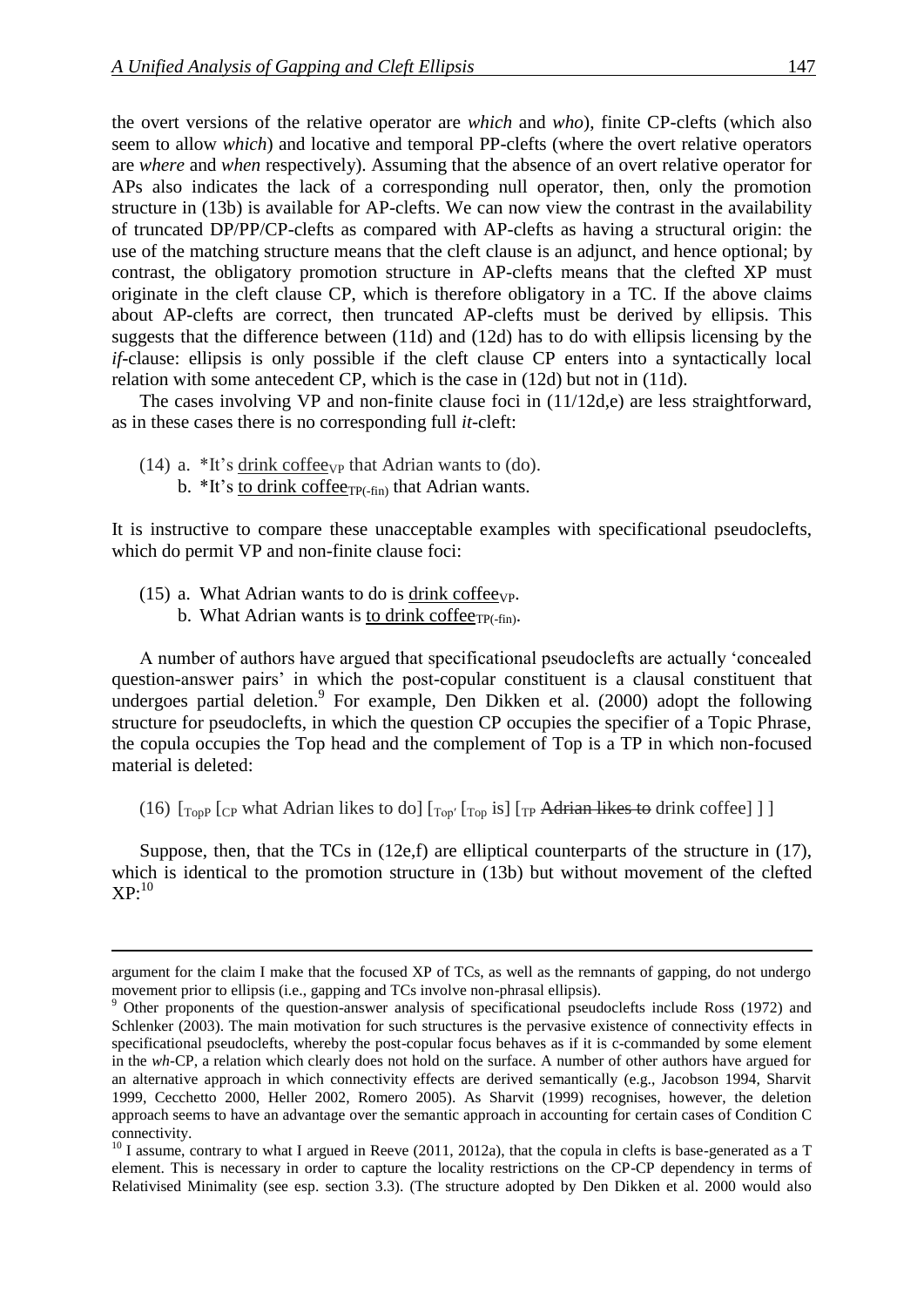the overt versions of the relative operator are *which* and *who*), finite CP-clefts (which also seem to allow *which*) and locative and temporal PP-clefts (where the overt relative operators are *where* and *when* respectively). Assuming that the absence of an overt relative operator for APs also indicates the lack of a corresponding null operator, then, only the promotion structure in [\(13b](#page-5-2)) is available for AP-clefts. We can now view the contrast in the availability of truncated DP/PP/CP-clefts as compared with AP-clefts as having a structural origin: the use of the matching structure means that the cleft clause is an adjunct, and hence optional; by contrast, the obligatory promotion structure in AP-clefts means that the clefted XP must originate in the cleft clause CP, which is therefore obligatory in a TC. If the above claims about AP-clefts are correct, then truncated AP-clefts must be derived by ellipsis. This suggests that the difference between [\(11d](#page-5-0)) and [\(12d](#page-5-1)) has to do with ellipsis licensing by the *if*-clause: ellipsis is only possible if the cleft clause CP enters into a syntactically local relation with some antecedent CP, which is the case in [\(12d](#page-5-1)) but not in [\(11d](#page-5-0)).

The cases involving VP and non-finite clause foci in [\(11/](#page-5-0)[12d](#page-5-1),e) are less straightforward, as in these cases there is no corresponding full *it*-cleft:

- (14) a.  $*$ It's drink coffee<sub>VP</sub> that Adrian wants to (do).
	- b.  $*$ It's <u>to drink coffee<sub>TP(-fin</sub></u>) that Adrian wants.

It is instructive to compare these unacceptable examples with specificational pseudoclefts, which do permit VP and non-finite clause foci:

<span id="page-6-0"></span>(15) a. What Adrian wants to do is drink coffeeve.

b. What Adrian wants is to drink coffee $_{TP(-fin)}$ .

A number of authors have argued that specificational pseudoclefts are actually 'concealed question-answer pairs' in which the post-copular constituent is a clausal constituent that undergoes partial deletion.<sup>9</sup> For example, Den Dikken et al.  $(2000)$  adopt the following structure for pseudoclefts, in which the question CP occupies the specifier of a Topic Phrase, the copula occupies the Top head and the complement of Top is a TP in which non-focused material is deleted:

(16)  $\lbrack \begin{bmatrix} T_{\text{top}} \end{bmatrix}$  [cp what Adrian likes to do]  $\lbrack T_{\text{top}} \rbrack$   $\lbrack T_{\text{top}}$  is]  $\lbrack T_{\text{top}}$  Adrian likes to drink coffee] ]

Suppose, then, that the TCs in [\(12e](#page-5-1),f) are elliptical counterparts of the structure in [\(17\)](#page-7-0), which is identical to the promotion structure in [\(13b](#page-5-2)) but without movement of the clefted  $XP:^{10}$ 

argument for the claim I make that the focused XP of TCs, as well as the remnants of gapping, do not undergo movement prior to ellipsis (i.e., gapping and TCs involve non-phrasal ellipsis).

<sup>&</sup>lt;sup>9</sup> Other proponents of the question-answer analysis of specificational pseudoclefts include Ross (1972) and Schlenker (2003). The main motivation for such structures is the pervasive existence of connectivity effects in specificational pseudoclefts, whereby the post-copular focus behaves as if it is c-commanded by some element in the *wh-*CP, a relation which clearly does not hold on the surface. A number of other authors have argued for an alternative approach in which connectivity effects are derived semantically (e.g., Jacobson 1994, Sharvit 1999, Cecchetto 2000, Heller 2002, Romero 2005). As Sharvit (1999) recognises, however, the deletion approach seems to have an advantage over the semantic approach in accounting for certain cases of Condition C connectivity.

 $10$  I assume, contrary to what I argued in Reeve (2011, 2012a), that the copula in clefts is base-generated as a T element. This is necessary in order to capture the locality restrictions on the CP-CP dependency in terms of Relativised Minimality (see esp. section 3.3). (The structure adopted by Den Dikken et al. 2000 would also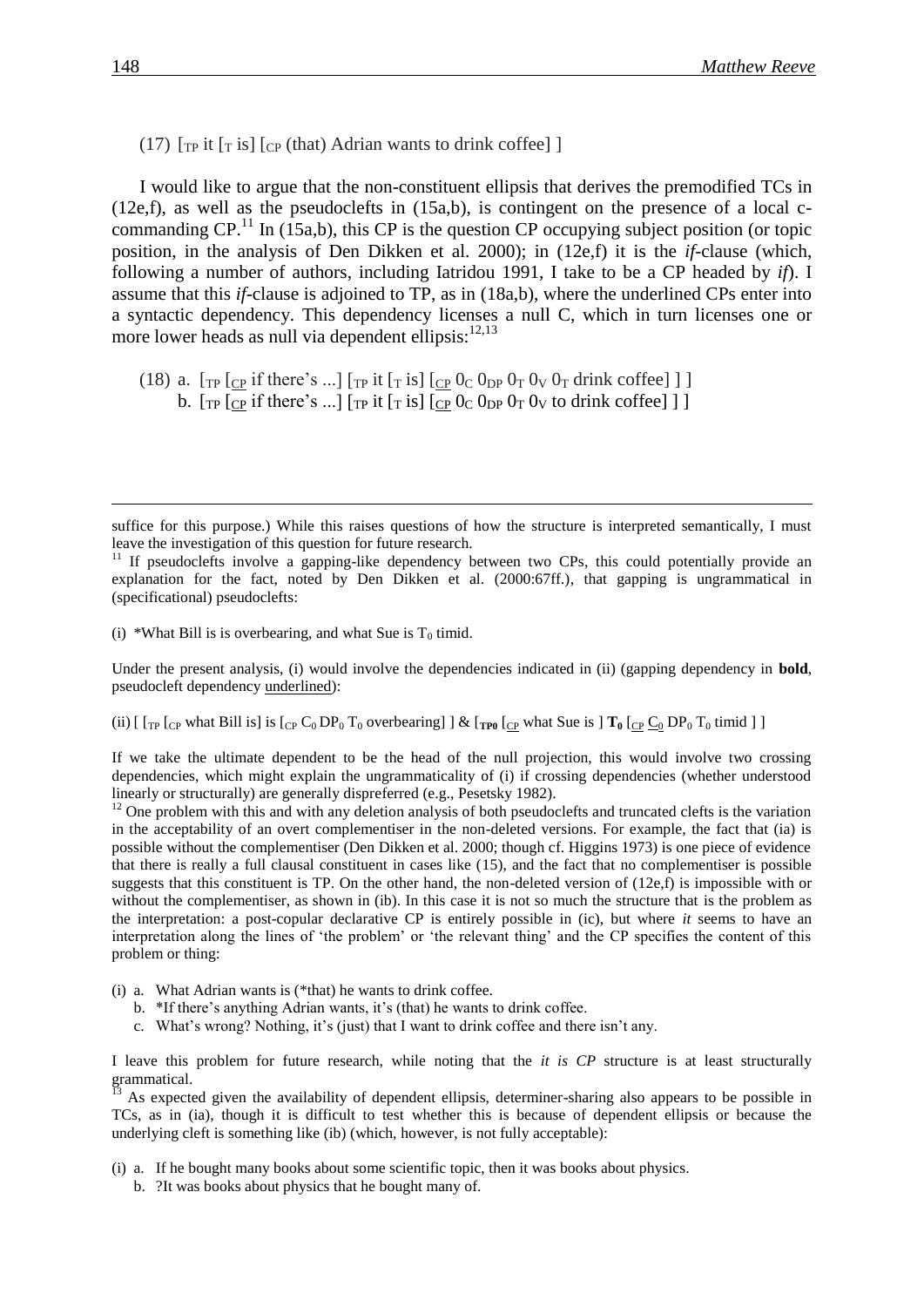<span id="page-7-0"></span>(17)  $\lceil \text{TP} \text{ it } \lceil \text{TS} \rceil$   $\lceil \text{CP} \text{ (that)} \rceil$  Adrian wants to drink coffee]  $\lceil \text{CP} \rceil$ 

I would like to argue that the non-constituent ellipsis that derives the premodified TCs in  $(12e,f)$  $(12e,f)$ , as well as the pseudoclefts in  $(15a,b)$  $(15a,b)$ , is contingent on the presence of a local ccommanding  $\text{CP}$ .<sup>11</sup> In [\(15a](#page-6-0),b), this CP is the question CP occupying subject position (or topic position, in the analysis of Den Dikken et al. 2000); in [\(12e](#page-5-1),f) it is the *if*-clause (which, following a number of authors, including Iatridou 1991, I take to be a CP headed by *if*). I assume that this *if*-clause is adjoined to TP, as in [\(18a](#page-7-1),b), where the underlined CPs enter into a syntactic dependency. This dependency licenses a null C, which in turn licenses one or more lower heads as null via dependent ellipsis: $12,13$ 

<span id="page-7-1"></span>(18) a.  $[\text{TP} [C\text{P} \text{ if there's } ...] [\text{TP} \text{ it } [\text{T} \text{ is}] [\text{CP } 0\text{C} \text{ O}_{\text{DP}} \text{ O}_{\text{T}} \text{ O}_{\text{V}} \text{ O}_{\text{T}} \text{ drink coffee}] ]$ b.  $[\text{TP} [CP]$  if there's ...]  $[\text{TP} It [T]$  is  $[CP]$   $[CP]$   $[OP]$   $[OP]$  to drink coffee] ]

(i) \*What Bill is is overbearing, and what Sue is  $T_0$  timid.

Under the present analysis, (i) would involve the dependencies indicated in (ii) (gapping dependency in **bold**, pseudocleft dependency underlined):

(ii)  $\left[ \int_{\text{TP}} \left[ \int_{\text{CP}} \text{what Bill is} \right] \right]$  is  $\left[ \int_{\text{CP}} C_0 \text{DP}_0 T_0 \text{over bearing} \right]$   $\left[ \int_{\text{CP}} \left[ \int_{\text{CP}} \text{what Sue is} \right] T_0 \left[ \int_{\text{CP}} \underline{C}_0 \text{DP}_0 T_0 \text{timid} \right] \right]$ 

If we take the ultimate dependent to be the head of the null projection, this would involve two crossing dependencies, which might explain the ungrammaticality of (i) if crossing dependencies (whether understood linearly or structurally) are generally dispreferred (e.g., Pesetsky 1982).

 $12$  One problem with this and with any deletion analysis of both pseudoclefts and truncated clefts is the variation in the acceptability of an overt complementiser in the non-deleted versions. For example, the fact that (ia) is possible without the complementiser (Den Dikken et al. 2000; though cf. Higgins 1973) is one piece of evidence that there is really a full clausal constituent in cases like [\(15\)](#page-6-0), and the fact that no complementiser is possible suggests that this constituent is TP. On the other hand, the non-deleted version of [\(12e](#page-5-1),f) is impossible with or without the complementiser, as shown in (ib). In this case it is not so much the structure that is the problem as the interpretation: a post-copular declarative CP is entirely possible in (ic), but where *it* seems to have an interpretation along the lines of 'the problem' or 'the relevant thing' and the CP specifies the content of this problem or thing:

- (i) a. What Adrian wants is (\*that) he wants to drink coffee.
	- b. \*If there's anything Adrian wants, it's (that) he wants to drink coffee.
	- c. What's wrong? Nothing, it's (just) that I want to drink coffee and there isn't any.

I leave this problem for future research, while noting that the *it is CP* structure is at least structurally grammatical.

<sup>13</sup> As expected given the availability of dependent ellipsis, determiner-sharing also appears to be possible in TCs, as in (ia), though it is difficult to test whether this is because of dependent ellipsis or because the underlying cleft is something like (ib) (which, however, is not fully acceptable):

(i) a. If he bought many books about some scientific topic, then it was books about physics.

b. ?It was books about physics that he bought many of.

suffice for this purpose.) While this raises questions of how the structure is interpreted semantically, I must leave the investigation of this question for future research.

 $11$  If pseudoclefts involve a gapping-like dependency between two CPs, this could potentially provide an explanation for the fact, noted by Den Dikken et al. (2000:67ff.), that gapping is ungrammatical in (specificational) pseudoclefts: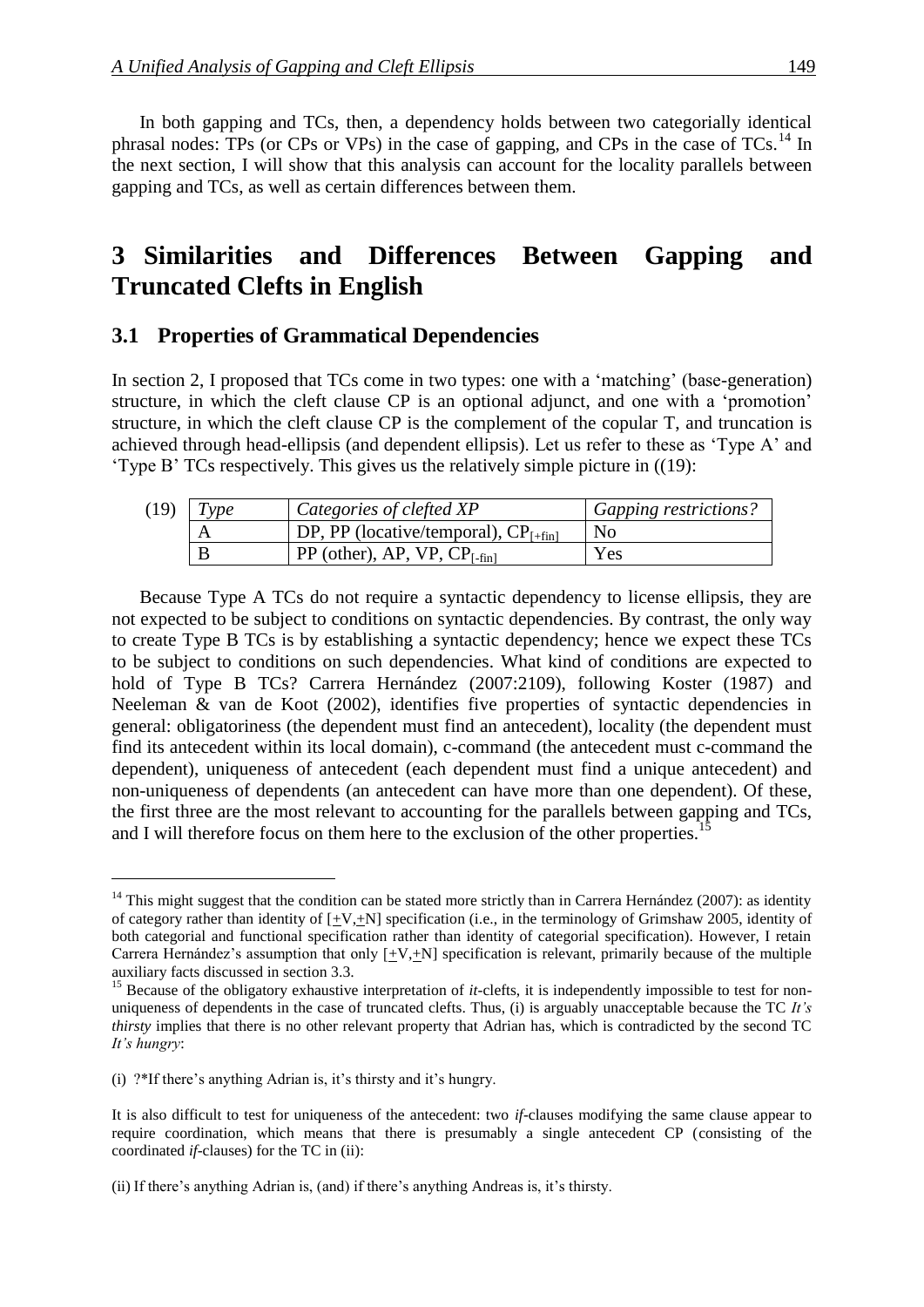In both gapping and TCs, then, a dependency holds between two categorially identical phrasal nodes: TPs (or CPs or VPs) in the case of gapping, and CPs in the case of  $TCs$ <sup>14</sup> In the next section, I will show that this analysis can account for the locality parallels between gapping and TCs, as well as certain differences between them.

# **3** Similarities and Differences Between Gapping and **Truncated Clefts in English**

### **3.1 Properties of Grammatical Dependencies**

In section 2, I proposed that TCs come in two types: one with a 'matching' (base-generation) structure, in which the cleft clause CP is an optional adjunct, and one with a 'promotion' structure, in which the cleft clause CP is the complement of the copular T, and truncation is achieved through head-ellipsis (and dependent ellipsis). Let us refer to these as 'Type A' and 'Type B' TCs respectively. This gives us the relatively simple picture in [\(\(19\)](#page-8-0):

<span id="page-8-0"></span>

| (19) | Type | Categories of clefted XP                          | <i>Gapping restrictions?</i> |
|------|------|---------------------------------------------------|------------------------------|
|      | A    | $\vert$ DP, PP (locative/temporal), $CP_{[+fin]}$ | N <sub>0</sub>               |
|      | B    | $\vert$ PP (other), AP, VP, CP <sub>[-fin]</sub>  | Yes                          |

Because Type A TCs do not require a syntactic dependency to license ellipsis, they are not expected to be subject to conditions on syntactic dependencies. By contrast, the only way to create Type B TCs is by establishing a syntactic dependency; hence we expect these TCs to be subject to conditions on such dependencies. What kind of conditions are expected to hold of Type B TCs? Carrera Hernández (2007:2109), following Koster (1987) and Neeleman & van de Koot (2002), identifies five properties of syntactic dependencies in general: obligatoriness (the dependent must find an antecedent), locality (the dependent must find its antecedent within its local domain), c-command (the antecedent must c-command the dependent), uniqueness of antecedent (each dependent must find a unique antecedent) and non-uniqueness of dependents (an antecedent can have more than one dependent). Of these, the first three are the most relevant to accounting for the parallels between gapping and TCs, and I will therefore focus on them here to the exclusion of the other properties.<sup>15</sup>

  $14$  This might suggest that the condition can be stated more strictly than in Carrera Hernández (2007): as identity of category rather than identity of  $[+V,+N]$  specification (i.e., in the terminology of Grimshaw 2005, identity of both categorial and functional specification rather than identity of categorial specification). However, I retain Carrera Hernández's assumption that only  $[\pm V, \pm N]$  specification is relevant, primarily because of the multiple auxiliary facts discussed in section 3.3.

<sup>&</sup>lt;sup>15</sup> Because of the obligatory exhaustive interpretation of *it*-clefts, it is independently impossible to test for nonuniqueness of dependents in the case of truncated clefts. Thus, (i) is arguably unacceptable because the TC *It's thirsty* implies that there is no other relevant property that Adrian has, which is contradicted by the second TC *It's hungry*:

<sup>(</sup>i) ?\*If there's anything Adrian is, it's thirsty and it's hungry.

It is also difficult to test for uniqueness of the antecedent: two *if*-clauses modifying the same clause appear to require coordination, which means that there is presumably a single antecedent CP (consisting of the coordinated *if*-clauses) for the TC in (ii):

<sup>(</sup>ii) If there's anything Adrian is, (and) if there's anything Andreas is, it's thirsty.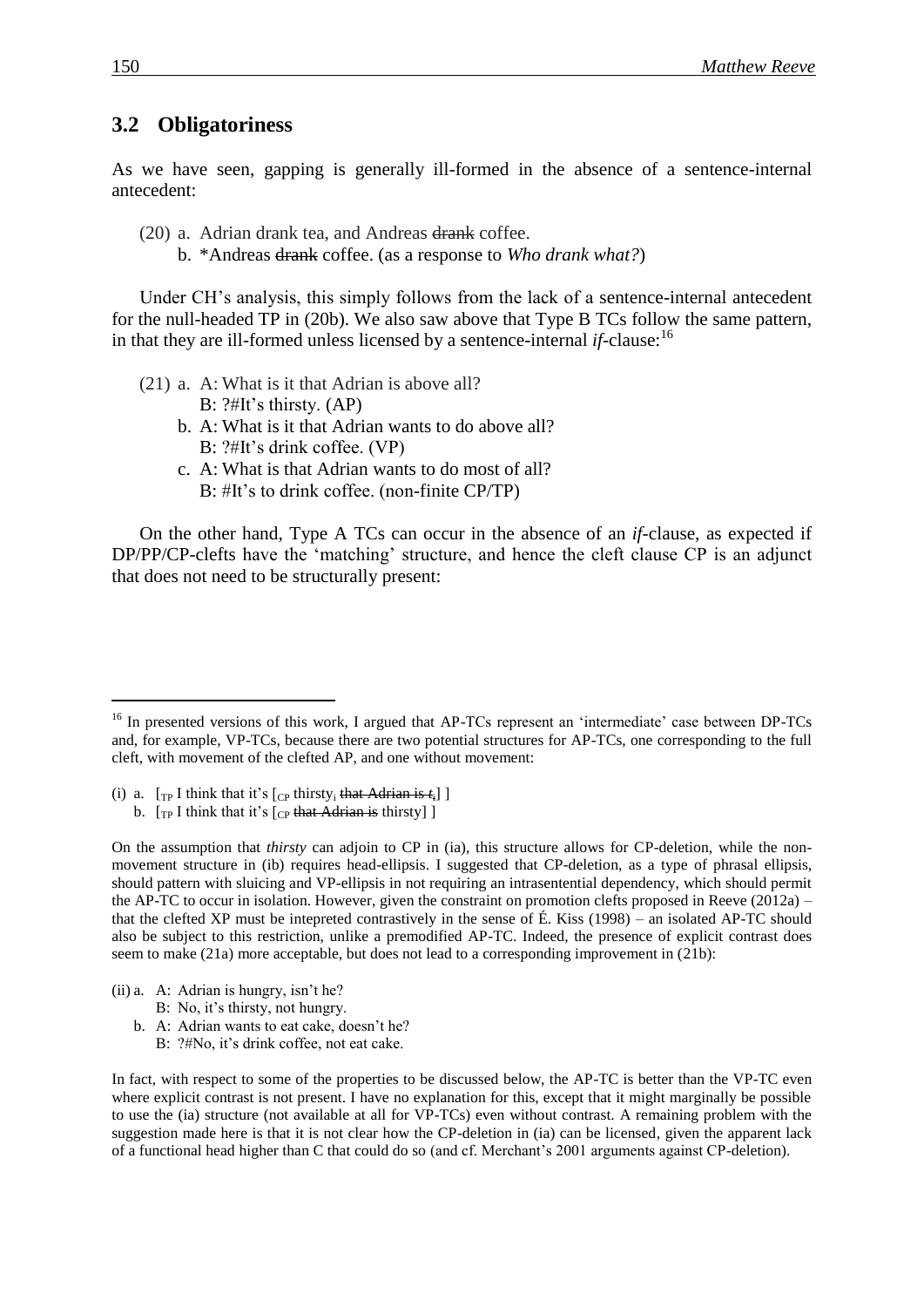### **3.2**xx**Obligatoriness**

As we have seen, gapping is generally ill-formed in the absence of a sentence-internal antecedent:

- <span id="page-9-0"></span>(20) a. Adrian drank tea, and Andreas drank coffee.
	- b. \*Andreas drank coffee. (as a response to *Who drank what?*)

Under CH's analysis, this simply follows from the lack of a sentence-internal antecedent for the null-headed TP in [\(20b](#page-9-0)). We also saw above that Type B TCs follow the same pattern, in that they are ill-formed unless licensed by a sentence-internal  $if$ -clause:  $16$ 

- <span id="page-9-1"></span>(21) a. A: What is it that Adrian is above all? B: ?#It's thirsty. (AP)
	- b. A: What is it that Adrian wants to do above all? B: ?#It's drink coffee. (VP)
	- c. A: What is that Adrian wants to do most of all? B: #It's to drink coffee. (non-finite CP/TP)

On the other hand, Type A TCs can occur in the absence of an *if*-clause, as expected if DP/PP/CP-clefts have the 'matching' structure, and hence the cleft clause CP is an adjunct that does not need to be structurally present:

(i) a.  $[\text{TP I think that it's } [\text{CP thirty}, \text{that Adrian is } t_i]]$ b.  $[\text{Tr}\text{I}\text{I}\text{t}$  [think that it's  $[\text{Tr}\text{I}\text{H}\text{I}\text{t}$  and  $\text{Tr}\text{H}\text{I}\text{t}$  and  $\text{Tr}\text{H}\text{I}\text{t}$  [the  $[\text{Tr}\text{I}\text{I}\text{H}\text{I}\text{t}$  and  $[\text{Tr}\text{I}\text{I}\text{H}\text{I}\text{t}$  and  $[\text{Tr}\text{I}\text{I}\text{H}\text{I}\text{H}\text{I}$  and  $[\text{$ 

On the assumption that *thirsty* can adjoin to CP in (ia), this structure allows for CP-deletion, while the nonmovement structure in (ib) requires head-ellipsis. I suggested that CP-deletion, as a type of phrasal ellipsis, should pattern with sluicing and VP-ellipsis in not requiring an intrasentential dependency, which should permit the AP-TC to occur in isolation. However, given the constraint on promotion clefts proposed in Reeve (2012a) – that the clefted XP must be intepreted contrastively in the sense of É. Kiss (1998) – an isolated AP-TC should also be subject to this restriction, unlike a premodified AP-TC. Indeed, the presence of explicit contrast does seem to make [\(21a](#page-9-1)) more acceptable, but does not lead to a corresponding improvement in [\(21b](#page-9-1)):

(ii) a. A: Adrian is hungry, isn't he?

B: No, it's thirsty, not hungry.

- b. A: Adrian wants to eat cake, doesn't he?
	- B: ?#No, it's drink coffee, not eat cake.

<sup>&</sup>lt;sup>16</sup> In presented versions of this work, I argued that AP-TCs represent an 'intermediate' case between DP-TCs and, for example, VP-TCs, because there are two potential structures for AP-TCs, one corresponding to the full cleft, with movement of the clefted AP, and one without movement:

In fact, with respect to some of the properties to be discussed below, the AP-TC is better than the VP-TC even where explicit contrast is not present. I have no explanation for this, except that it might marginally be possible to use the (ia) structure (not available at all for VP-TCs) even without contrast. A remaining problem with the suggestion made here is that it is not clear how the CP-deletion in (ia) can be licensed, given the apparent lack of a functional head higher than C that could do so (and cf. Merchant's 2001 arguments against CP-deletion).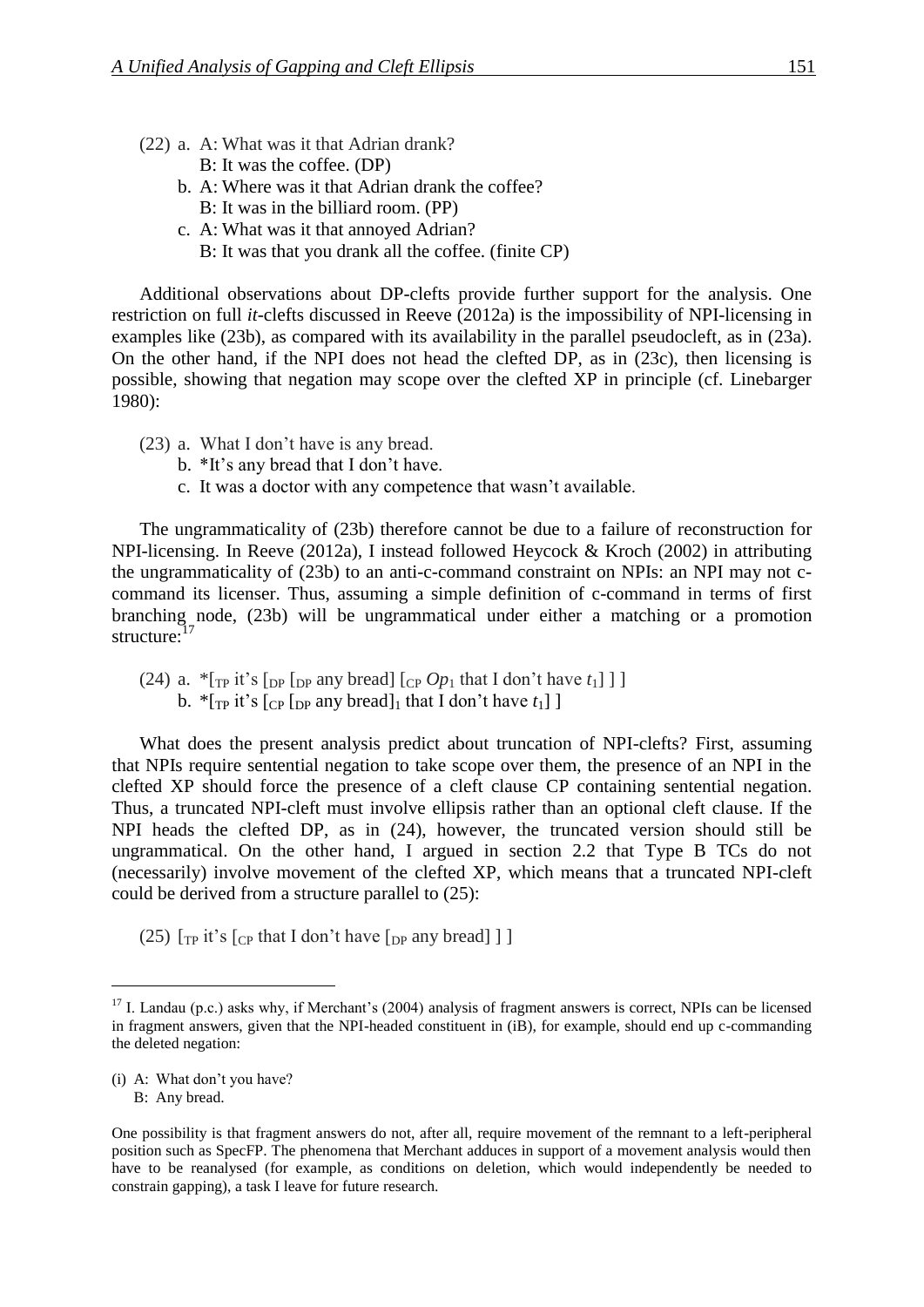- (22) a. A: What was it that Adrian drank? B: It was the coffee. (DP)
	- b. A: Where was it that Adrian drank the coffee? B: It was in the billiard room. (PP)
	- c. A: What was it that annoyed Adrian? B: It was that you drank all the coffee. (finite CP)

Additional observations about DP-clefts provide further support for the analysis. One restriction on full *it*-clefts discussed in Reeve (2012a) is the impossibility of NPI-licensing in examples like [\(23b](#page-10-0)), as compared with its availability in the parallel pseudocleft, as in [\(23a](#page-10-0)). On the other hand, if the NPI does not head the clefted DP, as in [\(23c](#page-10-0)), then licensing is possible, showing that negation may scope over the clefted XP in principle (cf. Linebarger 1980):

- <span id="page-10-0"></span>(23) a. What I don't have is any bread.
	- b. \*It's any bread that I don't have.
	- c. It was a doctor with any competence that wasn't available.

The ungrammaticality of [\(23b](#page-10-0)) therefore cannot be due to a failure of reconstruction for NPI-licensing. In Reeve (2012a), I instead followed Heycock & Kroch (2002) in attributing the ungrammaticality of [\(23b](#page-10-0)) to an anti-c-command constraint on NPIs: an NPI may not ccommand its licenser. Thus, assuming a simple definition of c-command in terms of first branching node, [\(23b](#page-10-0)) will be ungrammatical under either a matching or a promotion structure:<sup>17</sup>

<span id="page-10-1"></span>(24) a.  $\pi$ [TP it's [DP [DP any bread] [CP  $Op_1$  that I don't have  $t_1$ ] ] b.  $*$ [<sub>TP</sub> it's [<sub>CP</sub> [<sub>DP</sub> any bread]<sub>1</sub> that I don't have  $t_1$ ]]

What does the present analysis predict about truncation of NPI-clefts? First, assuming that NPIs require sentential negation to take scope over them, the presence of an NPI in the clefted XP should force the presence of a cleft clause CP containing sentential negation. Thus, a truncated NPI-cleft must involve ellipsis rather than an optional cleft clause. If the NPI heads the clefted DP, as in [\(24\)](#page-10-1), however, the truncated version should still be ungrammatical. On the other hand, I argued in section 2.2 that Type B TCs do not (necessarily) involve movement of the clefted XP, which means that a truncated NPI-cleft could be derived from a structure parallel to [\(25\)](#page-10-2):

<span id="page-10-2"></span>(25)  $[\text{TP it's } [\text{CP that I don't have } [\text{DP any bread}] ]]$ 

(i) A: What don't you have?

 $17$  I. Landau (p.c.) asks why, if Merchant's (2004) analysis of fragment answers is correct, NPIs can be licensed in fragment answers, given that the NPI-headed constituent in (iB), for example, should end up c-commanding the deleted negation:

B: Any bread.

One possibility is that fragment answers do not, after all, require movement of the remnant to a left-peripheral position such as SpecFP. The phenomena that Merchant adduces in support of a movement analysis would then have to be reanalysed (for example, as conditions on deletion, which would independently be needed to constrain gapping), a task I leave for future research.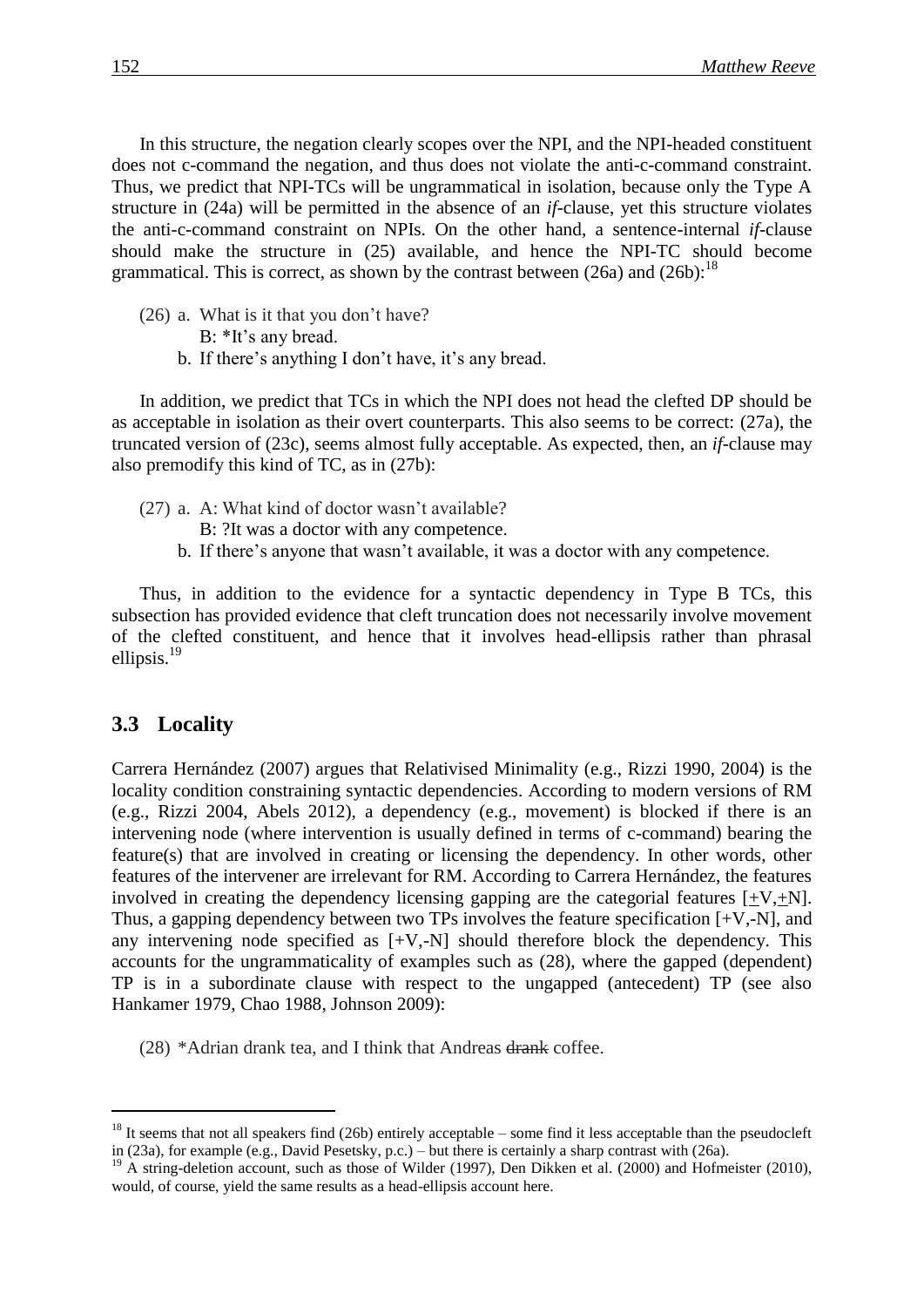In this structure, the negation clearly scopes over the NPI, and the NPI-headed constituent does not c-command the negation, and thus does not violate the anti-c-command constraint. Thus, we predict that NPI-TCs will be ungrammatical in isolation, because only the Type A structure in [\(24a](#page-10-1)) will be permitted in the absence of an *if*-clause, yet this structure violates the anti-c-command constraint on NPIs. On the other hand, a sentence-internal *if*-clause should make the structure in [\(25\)](#page-10-2) available, and hence the NPI-TC should become grammatical. This is correct, as shown by the contrast between  $(26a)$  $(26a)$  and  $(26b)$  $(26b)$ :<sup>18</sup>

- <span id="page-11-0"></span>(26) a. What is it that you don't have?
	- B: \*It's any bread.
	- b. If there's anything I don't have, it's any bread.

In addition, we predict that TCs in which the NPI does not head the clefted DP should be as acceptable in isolation as their overt counterparts. This also seems to be correct: [\(27a](#page-11-1)), the truncated version of [\(23c](#page-10-0)), seems almost fully acceptable. As expected, then, an *if*-clause may also premodify this kind of TC, as in [\(27b](#page-11-1)):

- <span id="page-11-1"></span>(27) a. A: What kind of doctor wasn't available?
	- B: ?It was a doctor with any competence.
	- b. If there's anyone that wasn't available, it was a doctor with any competence.

Thus, in addition to the evidence for a syntactic dependency in Type B TCs, this subsection has provided evidence that cleft truncation does not necessarily involve movement of the clefted constituent, and hence that it involves head-ellipsis rather than phrasal ellipsis.<sup>19</sup>

### **3.3** Locality

Carrera Hernández (2007) argues that Relativised Minimality (e.g., Rizzi 1990, 2004) is the locality condition constraining syntactic dependencies. According to modern versions of RM (e.g., Rizzi 2004, Abels 2012), a dependency (e.g., movement) is blocked if there is an intervening node (where intervention is usually defined in terms of c-command) bearing the feature(s) that are involved in creating or licensing the dependency. In other words, other features of the intervener are irrelevant for RM. According to Carrera Hernández, the features involved in creating the dependency licensing gapping are the categorial features  $[+V,+N]$ . Thus, a gapping dependency between two TPs involves the feature specification [+V,-N], and any intervening node specified as [+V,-N] should therefore block the dependency. This accounts for the ungrammaticality of examples such as [\(28\)](#page-11-2), where the gapped (dependent) TP is in a subordinate clause with respect to the ungapped (antecedent) TP (see also Hankamer 1979, Chao 1988, Johnson 2009):

<span id="page-11-2"></span>(28) \*Adrian drank tea, and I think that Andreas drank coffee.

 $18$  It seems that not all speakers find [\(26b](#page-11-0)) entirely acceptable – some find it less acceptable than the pseudocleft in [\(23a](#page-10-0)), for example (e.g., David Pesetsky, p.c.) – but there is certainly a sharp contrast with [\(26a](#page-11-0)).

<sup>&</sup>lt;sup>19</sup> A string-deletion account, such as those of Wilder (1997), Den Dikken et al. (2000) and Hofmeister (2010), would, of course, yield the same results as a head-ellipsis account here.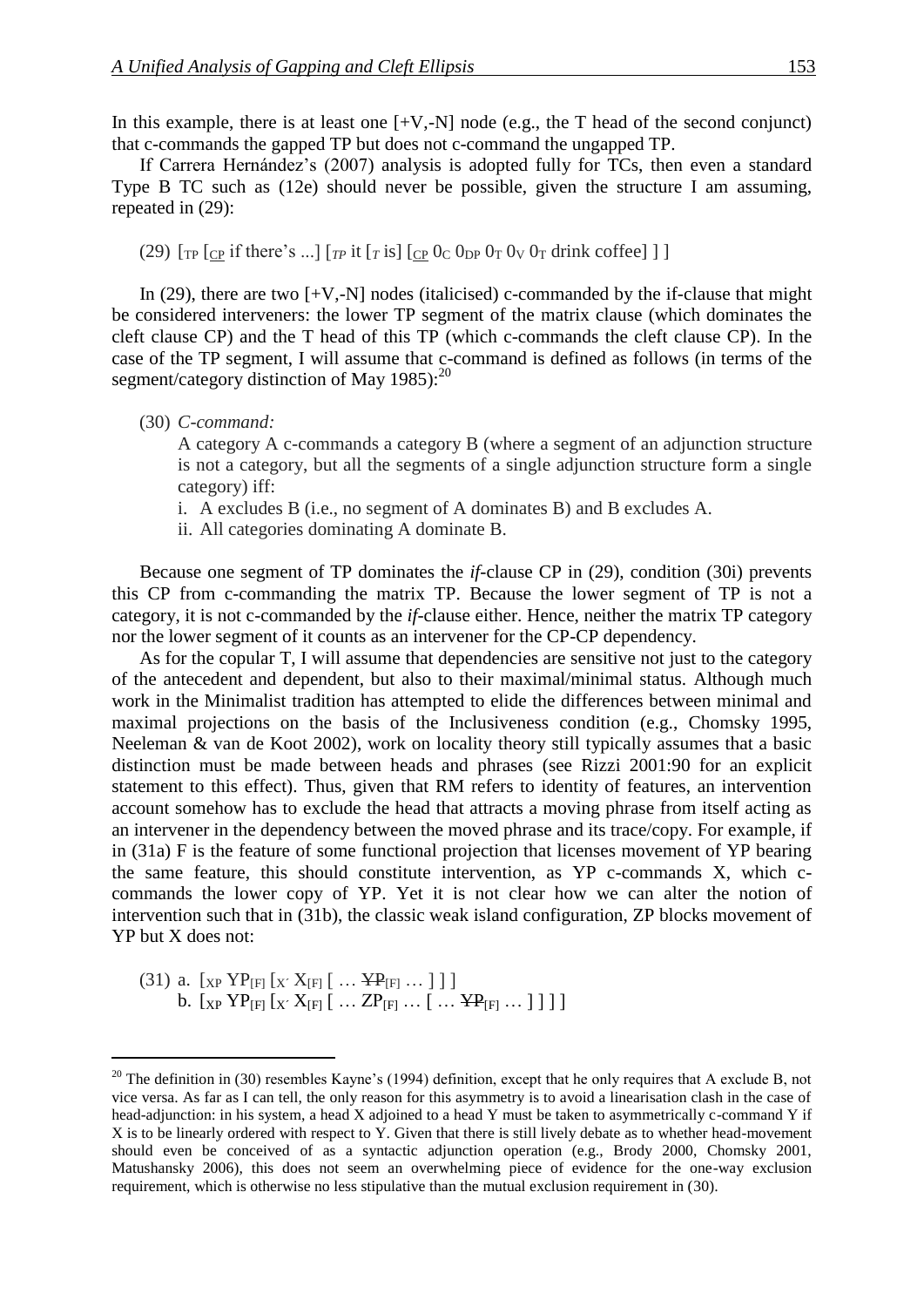In this example, there is at least one  $[+V,-N]$  node (e.g., the T head of the second conjunct) that c-commands the gapped TP but does not c-command the ungapped TP.

If Carrera Hernández's (2007) analysis is adopted fully for TCs, then even a standard Type B TC such as [\(12e](#page-5-1)) should never be possible, given the structure I am assuming, repeated in [\(29\)](#page-12-0):

<span id="page-12-0"></span>(29)  $\left[\text{TP} \left[\text{CP} \text{ if there's } ...\right] \left[\text{TP} \text{ it } \left[\text{TP} \text{ is } ]\right] \left[\text{CP} \text{ 0}_{\text{C}} \text{ 0}_{\text{DP}} \text{ 0}_{\text{T}} \text{ 0}_{\text{V}} \text{ 0}_{\text{T}} \text{ 0}_{\text{V}} \text{ 0}_{\text{T}} \text{ 0}_{\text{V}}\right] \right]$ 

In [\(29\)](#page-12-0), there are two  $[+V,-N]$  nodes (italicised) c-commanded by the if-clause that might be considered interveners: the lower TP segment of the matrix clause (which dominates the cleft clause CP) and the T head of this TP (which c-commands the cleft clause CP). In the case of the TP segment, I will assume that c-command is defined as follows (in terms of the segment/category distinction of May 1985):<sup>20</sup>

<span id="page-12-1"></span>(30) *C-command:*

A category A c-commands a category B (where a segment of an adjunction structure is not a category, but all the segments of a single adjunction structure form a single category) iff:

- i. A excludes B (i.e., no segment of A dominates B) and B excludes A.
- ii. All categories dominating A dominate B.

Because one segment of TP dominates the *if*-clause CP in [\(29\)](#page-12-0), condition [\(30i](#page-12-1)) prevents this CP from c-commanding the matrix TP. Because the lower segment of TP is not a category, it is not c-commanded by the *if*-clause either. Hence, neither the matrix TP category nor the lower segment of it counts as an intervener for the CP-CP dependency.

As for the copular T, I will assume that dependencies are sensitive not just to the category of the antecedent and dependent, but also to their maximal/minimal status. Although much work in the Minimalist tradition has attempted to elide the differences between minimal and maximal projections on the basis of the Inclusiveness condition (e.g., Chomsky 1995, Neeleman & van de Koot 2002), work on locality theory still typically assumes that a basic distinction must be made between heads and phrases (see Rizzi 2001:90 for an explicit statement to this effect). Thus, given that RM refers to identity of features, an intervention account somehow has to exclude the head that attracts a moving phrase from itself acting as an intervener in the dependency between the moved phrase and its trace/copy. For example, if in [\(31a](#page-12-2)) F is the feature of some functional projection that licenses movement of YP bearing the same feature, this should constitute intervention, as YP c-commands X, which ccommands the lower copy of YP. Yet it is not clear how we can alter the notion of intervention such that in [\(31b](#page-12-2)), the classic weak island configuration, ZP blocks movement of YP but X does not:

<span id="page-12-2"></span>(31) a.  $[xP Y P_{[F]} [x' X_{[F]} [ ... Y P_{[F]} ... ] ]$ b.  $[x_P \text{YP}_{[F]} [x \text{X}_{[F]} [ \dots ZP_{[F]} \dots [ \dots YP_{[F]} \dots ] ] ] ]$ 

 $20$  The definition in [\(30\)](#page-12-1) resembles Kayne's (1994) definition, except that he only requires that A exclude B, not vice versa. As far as I can tell, the only reason for this asymmetry is to avoid a linearisation clash in the case of head-adjunction: in his system, a head X adjoined to a head Y must be taken to asymmetrically c-command Y if X is to be linearly ordered with respect to Y. Given that there is still lively debate as to whether head-movement should even be conceived of as a syntactic adjunction operation (e.g., Brody 2000, Chomsky 2001, Matushansky 2006), this does not seem an overwhelming piece of evidence for the one-way exclusion requirement, which is otherwise no less stipulative than the mutual exclusion requirement in [\(30\)](#page-12-1).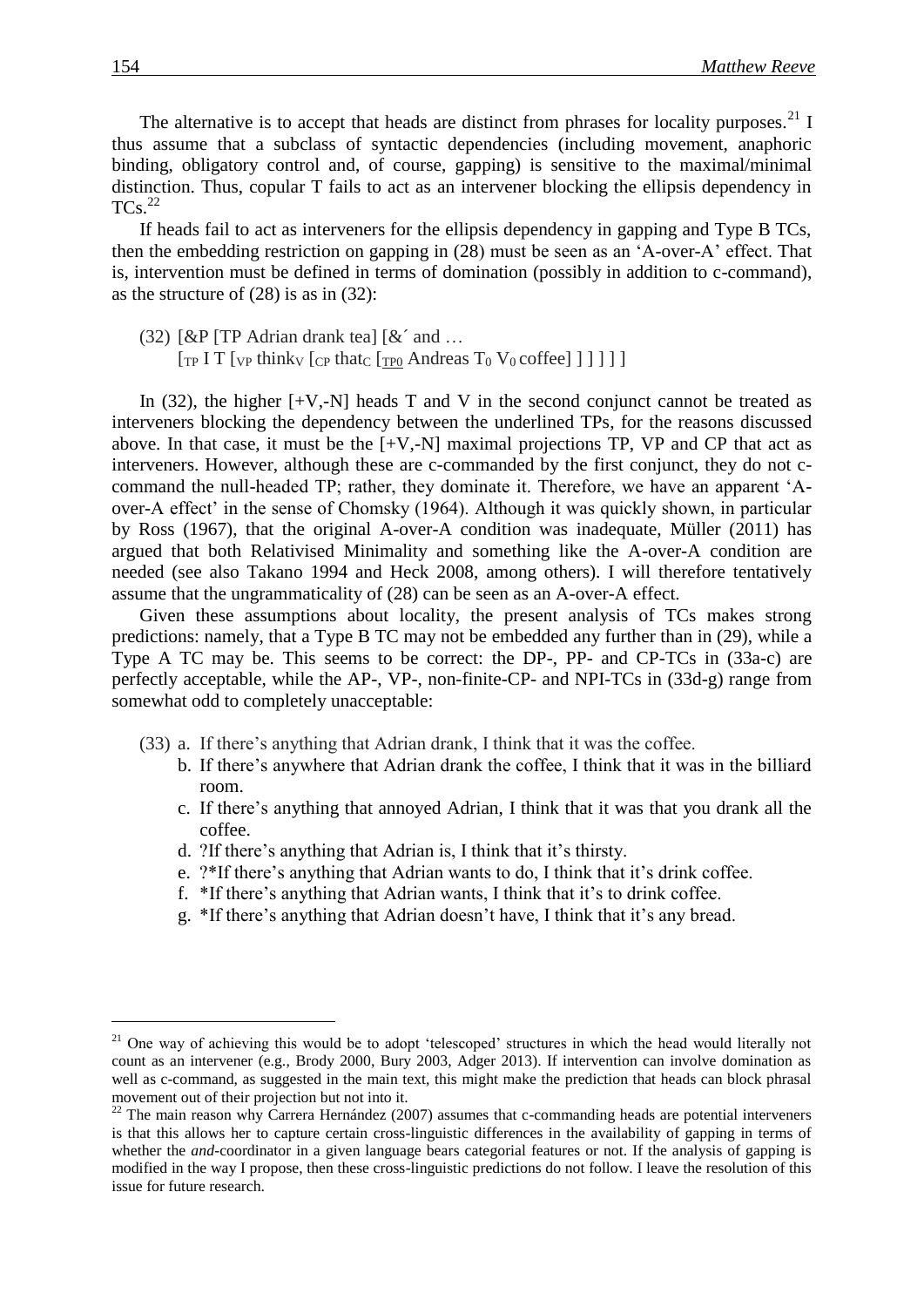The alternative is to accept that heads are distinct from phrases for locality purposes.<sup>21</sup> I thus assume that a subclass of syntactic dependencies (including movement, anaphoric binding, obligatory control and, of course, gapping) is sensitive to the maximal/minimal distinction. Thus, copular T fails to act as an intervener blocking the ellipsis dependency in  $TCs.<sup>22</sup>$ 

If heads fail to act as interveners for the ellipsis dependency in gapping and Type B TCs, then the embedding restriction on gapping in [\(28\)](#page-11-2) must be seen as an 'A-over-A' effect. That is, intervention must be defined in terms of domination (possibly in addition to c-command), as the structure of [\(28\)](#page-11-2) is as in [\(32\)](#page-13-0):

<span id="page-13-0"></span>(32)  $[\&P[TP\]$  Adrian drank tea]  $[\&$  and ...  $\left[\begin{matrix}T_P & T \end{matrix}\right]$  [ $\begin{matrix}V_P & T \end{matrix}$  think<sub>V</sub>  $\begin{matrix}C_P & \text{that}_{C} \end{matrix}$   $\begin{matrix}T_{P0} & \text{Andreas} & T_0 & V_0 & \text{coffect} \end{matrix}$ ] ] ]

In  $(32)$ , the higher  $[+V,-N]$  heads T and V in the second conjunct cannot be treated as interveners blocking the dependency between the underlined TPs, for the reasons discussed above. In that case, it must be the  $[+V,-N]$  maximal projections TP, VP and CP that act as interveners. However, although these are c-commanded by the first conjunct, they do not ccommand the null-headed TP; rather, they dominate it. Therefore, we have an apparent 'Aover-A effect' in the sense of Chomsky (1964). Although it was quickly shown, in particular by Ross (1967), that the original A-over-A condition was inadequate, Müller (2011) has argued that both Relativised Minimality and something like the A-over-A condition are needed (see also Takano 1994 and Heck 2008, among others). I will therefore tentatively assume that the ungrammaticality of [\(28\)](#page-11-2) can be seen as an A-over-A effect.

Given these assumptions about locality, the present analysis of TCs makes strong predictions: namely, that a Type B TC may not be embedded any further than in [\(29\)](#page-12-0), while a Type A TC may be. This seems to be correct: the DP-, PP- and CP-TCs in [\(33a](#page-13-1)-c) are perfectly acceptable, while the AP-, VP-, non-finite-CP- and NPI-TCs in [\(33d](#page-13-1)-g) range from somewhat odd to completely unacceptable:

- <span id="page-13-1"></span>(33) a. If there's anything that Adrian drank, I think that it was the coffee.
	- b. If there's anywhere that Adrian drank the coffee, I think that it was in the billiard room.
	- c. If there's anything that annoyed Adrian, I think that it was that you drank all the coffee.
	- d. ?If there's anything that Adrian is, I think that it's thirsty.
	- e. ?\*If there's anything that Adrian wants to do, I think that it's drink coffee.
	- f. \*If there's anything that Adrian wants, I think that it's to drink coffee.
	- g. \*If there's anything that Adrian doesn't have, I think that it's any bread.

<sup>&</sup>lt;sup>21</sup> One way of achieving this would be to adopt 'telescoped' structures in which the head would literally not count as an intervener (e.g., Brody 2000, Bury 2003, Adger 2013). If intervention can involve domination as well as c-command, as suggested in the main text, this might make the prediction that heads can block phrasal movement out of their projection but not into it.

 $^{22}$  The main reason why Carrera Hernández (2007) assumes that c-commanding heads are potential interveners is that this allows her to capture certain cross-linguistic differences in the availability of gapping in terms of whether the *and*-coordinator in a given language bears categorial features or not. If the analysis of gapping is modified in the way I propose, then these cross-linguistic predictions do not follow. I leave the resolution of this issue for future research.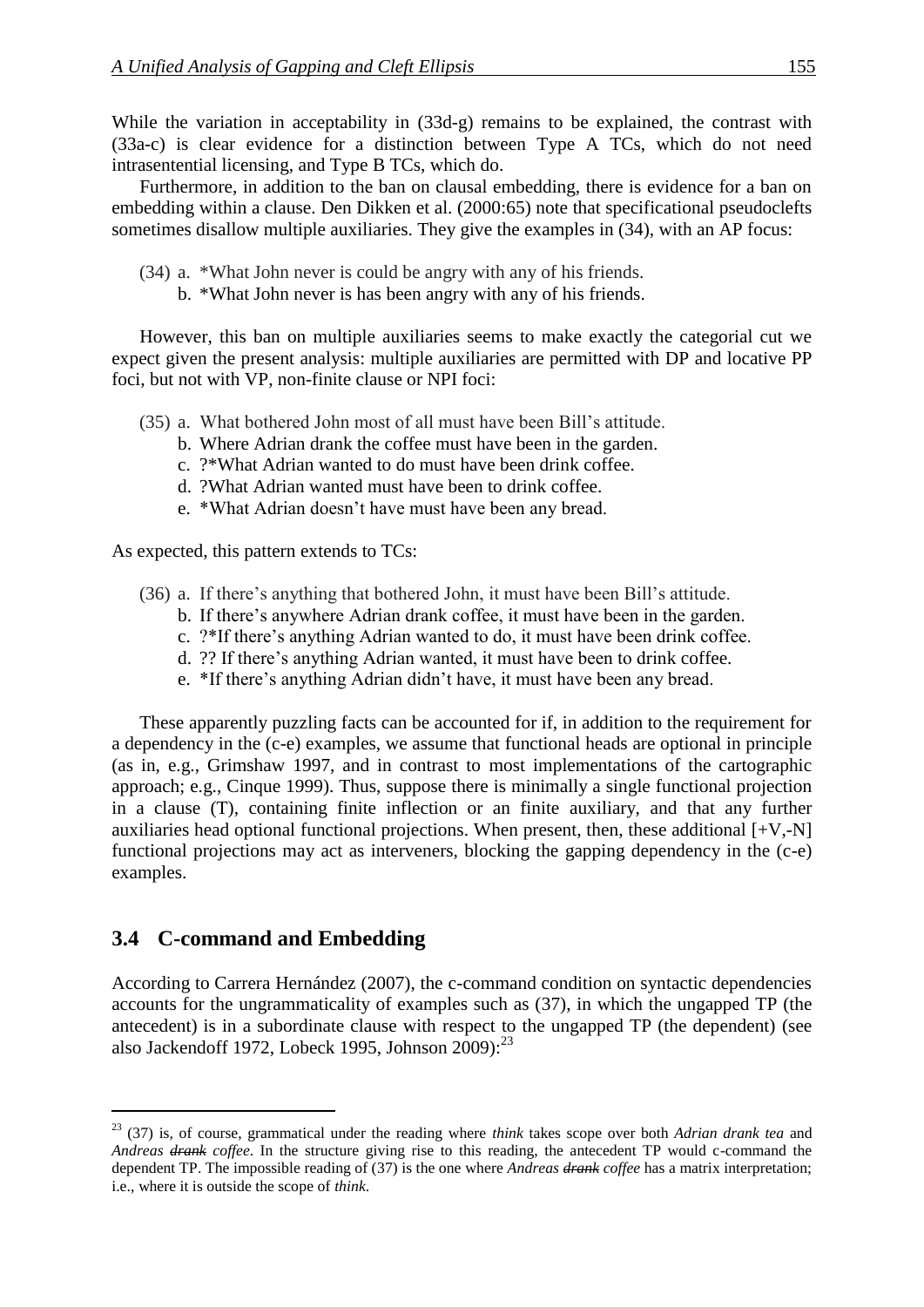While the variation in acceptability in  $(33d-g)$  $(33d-g)$  remains to be explained, the contrast with [\(33a](#page-13-1)-c) is clear evidence for a distinction between Type A TCs, which do not need intrasentential licensing, and Type B TCs, which do.

Furthermore, in addition to the ban on clausal embedding, there is evidence for a ban on embedding within a clause. Den Dikken et al. (2000:65) note that specificational pseudoclefts sometimes disallow multiple auxiliaries. They give the examples in [\(34\)](#page-14-0), with an AP focus:

- <span id="page-14-0"></span>(34) a. \*What John never is could be angry with any of his friends.
	- b. \*What John never is has been angry with any of his friends.

However, this ban on multiple auxiliaries seems to make exactly the categorial cut we expect given the present analysis: multiple auxiliaries are permitted with DP and locative PP foci, but not with VP, non-finite clause or NPI foci:

- (35) a. What bothered John most of all must have been Bill's attitude.
	- b. Where Adrian drank the coffee must have been in the garden.
	- c. ?\*What Adrian wanted to do must have been drink coffee.
	- d. ?What Adrian wanted must have been to drink coffee.
	- e. \*What Adrian doesn't have must have been any bread.

As expected, this pattern extends to TCs:

- (36) a. If there's anything that bothered John, it must have been Bill's attitude.
	- b. If there's anywhere Adrian drank coffee, it must have been in the garden.
	- c. ?\*If there's anything Adrian wanted to do, it must have been drink coffee.
	- d. ?? If there's anything Adrian wanted, it must have been to drink coffee.
	- e. \*If there's anything Adrian didn't have, it must have been any bread.

These apparently puzzling facts can be accounted for if, in addition to the requirement for a dependency in the (c-e) examples, we assume that functional heads are optional in principle (as in, e.g., Grimshaw 1997, and in contrast to most implementations of the cartographic approach; e.g., Cinque 1999). Thus, suppose there is minimally a single functional projection in a clause (T), containing finite inflection or an finite auxiliary, and that any further auxiliaries head optional functional projections. When present, then, these additional  $[+V,-N]$ functional projections may act as interveners, blocking the gapping dependency in the (c-e) examples.

### **3.4 C-command and Embedding**

According to Carrera Hernández (2007), the c-command condition on syntactic dependencies accounts for the ungrammaticality of examples such as [\(37\)](#page-15-0), in which the ungapped TP (the antecedent) is in a subordinate clause with respect to the ungapped TP (the dependent) (see also Jackendoff 1972, Lobeck 1995, Johnson 2009):<sup>23</sup>

<sup>23</sup> [\(37\)](#page-15-0) is, of course, grammatical under the reading where *think* takes scope over both *Adrian drank tea* and *Andreas drank coffee*. In the structure giving rise to this reading, the antecedent TP would c-command the dependent TP. The impossible reading of [\(37\)](#page-15-0) is the one where *Andreas drank coffee* has a matrix interpretation; i.e., where it is outside the scope of *think*.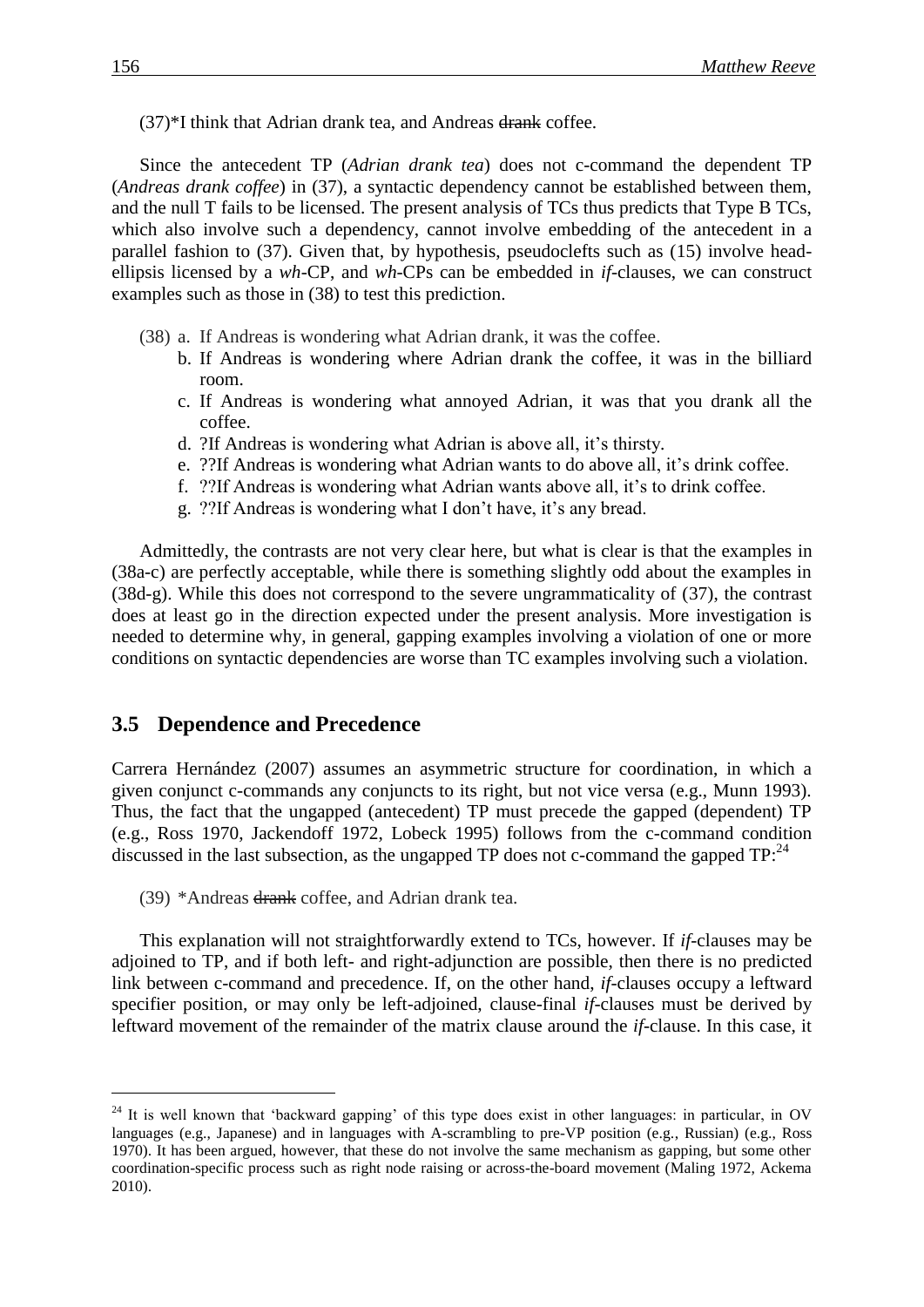<span id="page-15-0"></span> $(37)$ <sup>\*</sup>I think that Adrian drank tea, and Andreas drank coffee.

Since the antecedent TP (*Adrian drank tea*) does not c-command the dependent TP (*Andreas drank coffee*) in [\(37\)](#page-15-0), a syntactic dependency cannot be established between them, and the null T fails to be licensed. The present analysis of TCs thus predicts that Type B TCs, which also involve such a dependency, cannot involve embedding of the antecedent in a parallel fashion to [\(37\)](#page-15-0). Given that, by hypothesis, pseudoclefts such as [\(15\)](#page-6-0) involve headellipsis licensed by a *wh*-CP, and *wh*-CPs can be embedded in *if*-clauses, we can construct examples such as those in [\(38\)](#page-15-1) to test this prediction.

- <span id="page-15-1"></span>(38) a. If Andreas is wondering what Adrian drank, it was the coffee.
	- b. If Andreas is wondering where Adrian drank the coffee, it was in the billiard room.
	- c. If Andreas is wondering what annoyed Adrian, it was that you drank all the coffee.
	- d. ?If Andreas is wondering what Adrian is above all, it's thirsty.
	- e. ??If Andreas is wondering what Adrian wants to do above all, it's drink coffee.
	- f. ??If Andreas is wondering what Adrian wants above all, it's to drink coffee.
	- g. ??If Andreas is wondering what I don't have, it's any bread.

Admittedly, the contrasts are not very clear here, but what is clear is that the examples in [\(38a](#page-15-1)-c) are perfectly acceptable, while there is something slightly odd about the examples in [\(38d](#page-15-1)-g). While this does not correspond to the severe ungrammaticality of [\(37\)](#page-15-0), the contrast does at least go in the direction expected under the present analysis. More investigation is needed to determine why, in general, gapping examples involving a violation of one or more conditions on syntactic dependencies are worse than TC examples involving such a violation.

#### **3.5** Dependence and Precedence

Carrera Hernández (2007) assumes an asymmetric structure for coordination, in which a given conjunct c-commands any conjuncts to its right, but not vice versa (e.g., Munn 1993). Thus, the fact that the ungapped (antecedent) TP must precede the gapped (dependent) TP (e.g., Ross 1970, Jackendoff 1972, Lobeck 1995) follows from the c-command condition discussed in the last subsection, as the ungapped TP does not c-command the gapped TP:<sup>24</sup>

<span id="page-15-2"></span>(39) \*Andreas drank coffee, and Adrian drank tea.

This explanation will not straightforwardly extend to TCs, however. If *if*-clauses may be adjoined to TP, and if both left- and right-adjunction are possible, then there is no predicted link between c-command and precedence. If, on the other hand, *if*-clauses occupy a leftward specifier position, or may only be left-adjoined, clause-final *if*-clauses must be derived by leftward movement of the remainder of the matrix clause around the *if*-clause. In this case, it

<sup>&</sup>lt;sup>24</sup> It is well known that 'backward gapping' of this type does exist in other languages: in particular, in OV languages (e.g., Japanese) and in languages with A-scrambling to pre-VP position (e.g., Russian) (e.g., Ross 1970). It has been argued, however, that these do not involve the same mechanism as gapping, but some other coordination-specific process such as right node raising or across-the-board movement (Maling 1972, Ackema 2010).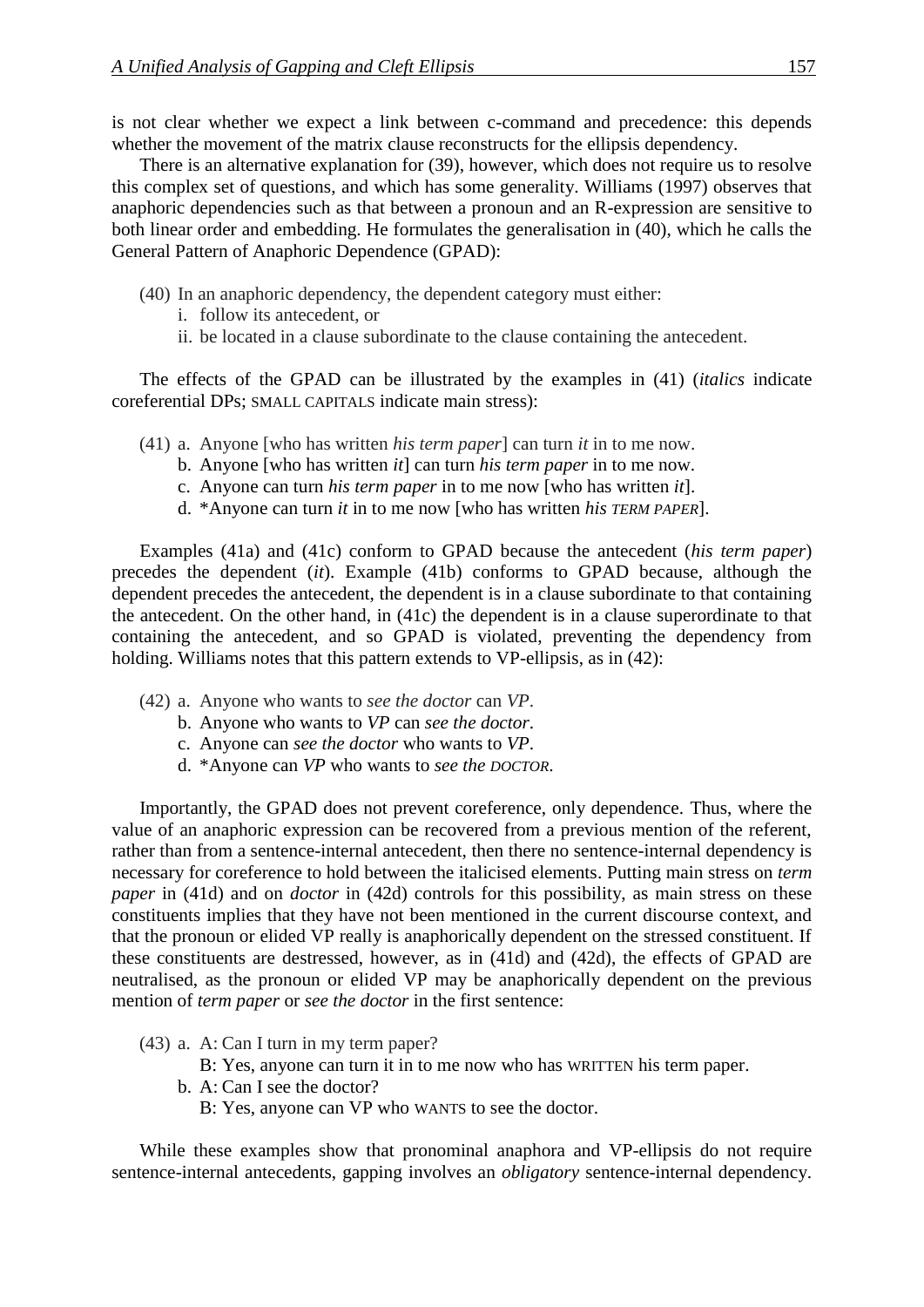is not clear whether we expect a link between c-command and precedence: this depends whether the movement of the matrix clause reconstructs for the ellipsis dependency.

There is an alternative explanation for [\(39\)](#page-15-2), however, which does not require us to resolve this complex set of questions, and which has some generality. Williams (1997) observes that anaphoric dependencies such as that between a pronoun and an R-expression are sensitive to both linear order and embedding. He formulates the generalisation in [\(40\)](#page-16-0), which he calls the General Pattern of Anaphoric Dependence (GPAD):

- <span id="page-16-0"></span>(40) In an anaphoric dependency, the dependent category must either:
	- i. follow its antecedent, or
	- ii. be located in a clause subordinate to the clause containing the antecedent.

The effects of the GPAD can be illustrated by the examples in [\(41\)](#page-16-1) (*italics* indicate coreferential DPs; SMALL CAPITALS indicate main stress):

- <span id="page-16-1"></span>(41) a. Anyone [who has written *his term paper*] can turn *it* in to me now.
	- b. Anyone [who has written *it*] can turn *his term paper* in to me now.
	- c. Anyone can turn *his term paper* in to me now [who has written *it*].
	- d. \*Anyone can turn *it* in to me now [who has written *his TERM PAPER*].

Examples [\(41a](#page-16-1)) and [\(41c](#page-16-1)) conform to GPAD because the antecedent (*his term paper*) precedes the dependent (*it*). Example [\(41b](#page-16-1)) conforms to GPAD because, although the dependent precedes the antecedent, the dependent is in a clause subordinate to that containing the antecedent. On the other hand, in [\(41c](#page-16-1)) the dependent is in a clause superordinate to that containing the antecedent, and so GPAD is violated, preventing the dependency from holding. Williams notes that this pattern extends to VP-ellipsis, as in [\(42\)](#page-16-2):

- <span id="page-16-2"></span>(42) a. Anyone who wants to *see the doctor* can *VP*.
	- b. Anyone who wants to *VP* can *see the doctor*.
	- c. Anyone can *see the doctor* who wants to *VP*.
	- d. \*Anyone can *VP* who wants to *see the DOCTOR*.

Importantly, the GPAD does not prevent coreference, only dependence. Thus, where the value of an anaphoric expression can be recovered from a previous mention of the referent, rather than from a sentence-internal antecedent, then there no sentence-internal dependency is necessary for coreference to hold between the italicised elements. Putting main stress on *term paper* in [\(41d](#page-16-1)) and on *doctor* in [\(42d](#page-16-2)) controls for this possibility, as main stress on these constituents implies that they have not been mentioned in the current discourse context, and that the pronoun or elided VP really is anaphorically dependent on the stressed constituent. If these constituents are destressed, however, as in [\(41d](#page-16-1)) and [\(42d](#page-16-2)), the effects of GPAD are neutralised, as the pronoun or elided VP may be anaphorically dependent on the previous mention of *term paper* or *see the doctor* in the first sentence:

- (43) a. A: Can I turn in my term paper?
	- B: Yes, anyone can turn it in to me now who has WRITTEN his term paper.
	- b. A: Can I see the doctor? B: Yes, anyone can VP who WANTS to see the doctor.

While these examples show that pronominal anaphora and VP-ellipsis do not require sentence-internal antecedents, gapping involves an *obligatory* sentence-internal dependency.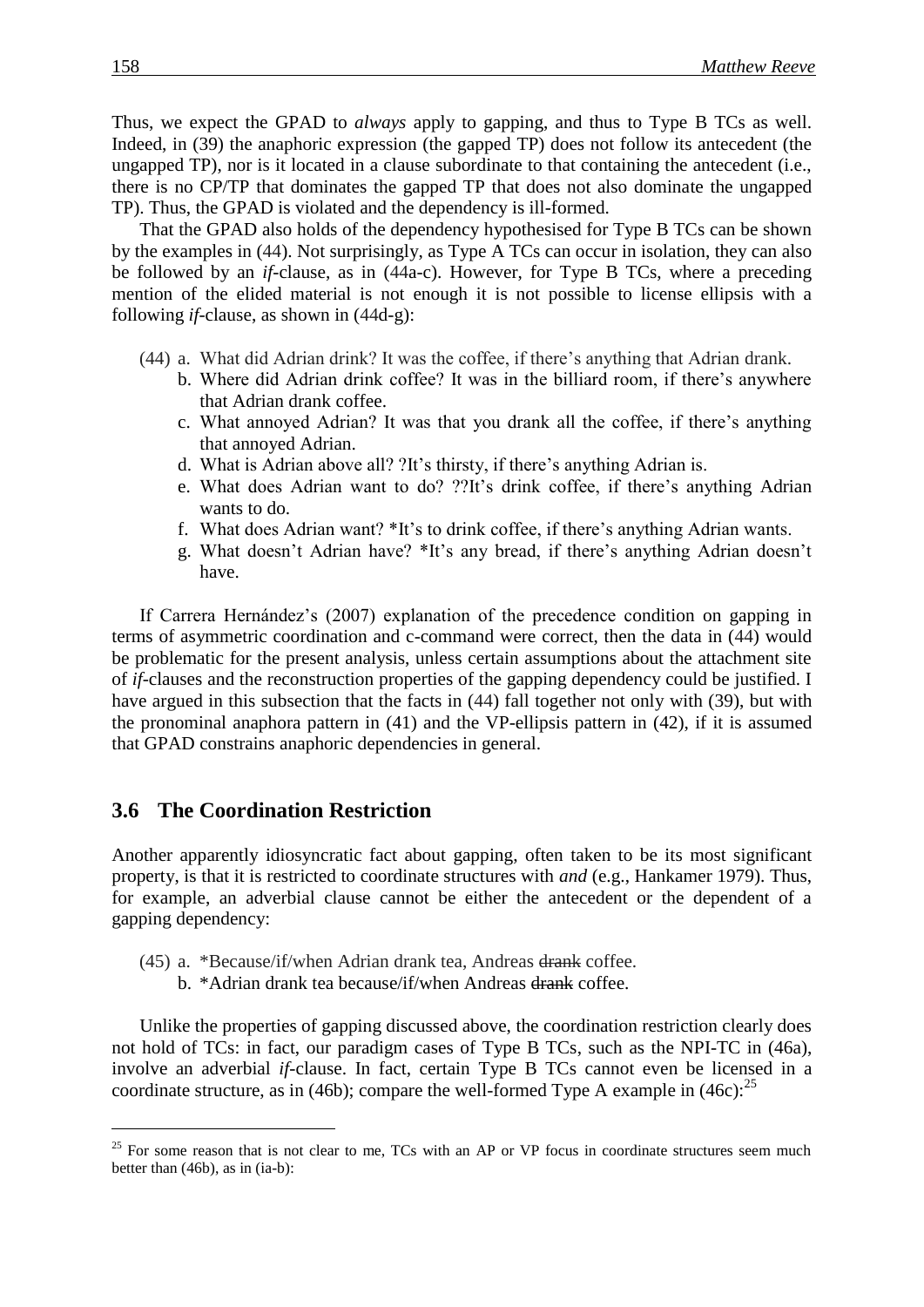Thus, we expect the GPAD to *always* apply to gapping, and thus to Type B TCs as well. Indeed, in [\(39\)](#page-15-2) the anaphoric expression (the gapped TP) does not follow its antecedent (the ungapped TP), nor is it located in a clause subordinate to that containing the antecedent (i.e., there is no CP/TP that dominates the gapped TP that does not also dominate the ungapped TP). Thus, the GPAD is violated and the dependency is ill-formed.

That the GPAD also holds of the dependency hypothesised for Type B TCs can be shown by the examples in [\(44\)](#page-17-0). Not surprisingly, as Type A TCs can occur in isolation, they can also be followed by an *if*-clause, as in [\(44a](#page-17-0)-c). However, for Type B TCs, where a preceding mention of the elided material is not enough it is not possible to license ellipsis with a following *if*-clause, as shown in [\(44d](#page-17-0)-g):

- <span id="page-17-0"></span>(44) a. What did Adrian drink? It was the coffee, if there's anything that Adrian drank.
	- b. Where did Adrian drink coffee? It was in the billiard room, if there's anywhere that Adrian drank coffee.
	- c. What annoyed Adrian? It was that you drank all the coffee, if there's anything that annoyed Adrian.
	- d. What is Adrian above all? ?It's thirsty, if there's anything Adrian is.
	- e. What does Adrian want to do? ??It's drink coffee, if there's anything Adrian wants to do.
	- f. What does Adrian want? \*It's to drink coffee, if there's anything Adrian wants.
	- g. What doesn't Adrian have? \*It's any bread, if there's anything Adrian doesn't have.

If Carrera Hernández's (2007) explanation of the precedence condition on gapping in terms of asymmetric coordination and c-command were correct, then the data in [\(44\)](#page-17-0) would be problematic for the present analysis, unless certain assumptions about the attachment site of *if*-clauses and the reconstruction properties of the gapping dependency could be justified. I have argued in this subsection that the facts in [\(44\)](#page-17-0) fall together not only with [\(39\)](#page-15-2), but with the pronominal anaphora pattern in [\(41\)](#page-16-1) and the VP-ellipsis pattern in [\(42\)](#page-16-2), if it is assumed that GPAD constrains anaphoric dependencies in general.

### **3.6 The Coordination Restriction**

Another apparently idiosyncratic fact about gapping, often taken to be its most significant property, is that it is restricted to coordinate structures with *and* (e.g., Hankamer 1979). Thus, for example, an adverbial clause cannot be either the antecedent or the dependent of a gapping dependency:

- <span id="page-17-1"></span>(45) a. \*Because/if/when Adrian drank tea, Andreas drank coffee.
	- b. \*Adrian drank tea because/if/when Andreas drank coffee.

Unlike the properties of gapping discussed above, the coordination restriction clearly does not hold of TCs: in fact, our paradigm cases of Type B TCs, such as the NPI-TC in [\(46a](#page-18-0)), involve an adverbial *if*-clause. In fact, certain Type B TCs cannot even be licensed in a coordinate structure, as in [\(46b](#page-18-0)); compare the well-formed Type A example in [\(46c](#page-18-0)):  $25$ 

 $25$  For some reason that is not clear to me, TCs with an AP or VP focus in coordinate structures seem much better than [\(46b](#page-18-0)), as in (ia-b):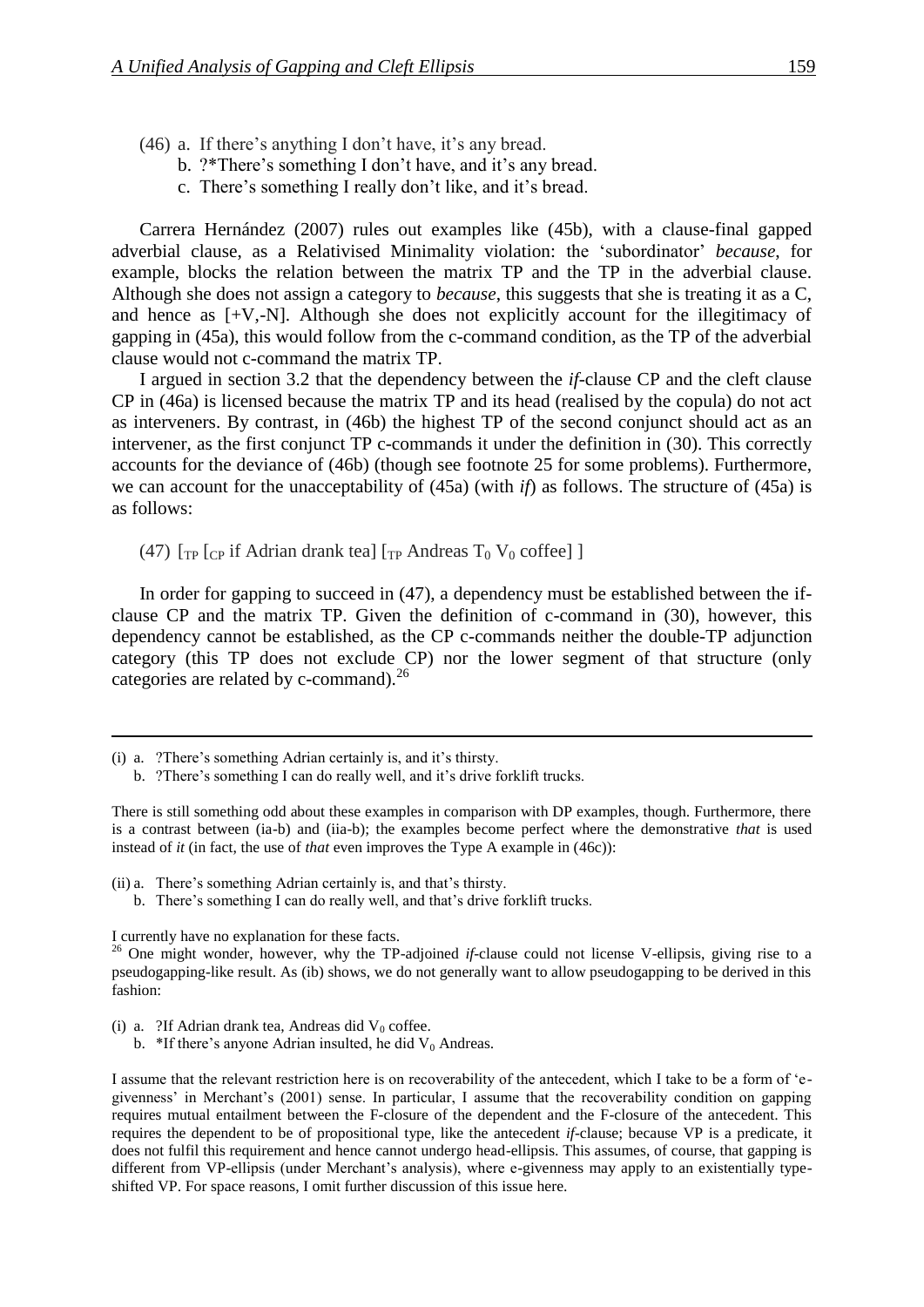- <span id="page-18-0"></span>(46) a. If there's anything I don't have, it's any bread.
	- b. ?\*There's something I don't have, and it's any bread.
	- c. There's something I really don't like, and it's bread.

Carrera Hernández (2007) rules out examples like [\(45b](#page-17-1)), with a clause-final gapped adverbial clause, as a Relativised Minimality violation: the 'subordinator' *because*, for example, blocks the relation between the matrix TP and the TP in the adverbial clause. Although she does not assign a category to *because*, this suggests that she is treating it as a C, and hence as  $[+V,-N]$ . Although she does not explicitly account for the illegitimacy of gapping in [\(45a](#page-17-1)), this would follow from the c-command condition, as the TP of the adverbial clause would not c-command the matrix TP.

I argued in section 3.2 that the dependency between the *if*-clause CP and the cleft clause CP in [\(46a](#page-18-0)) is licensed because the matrix TP and its head (realised by the copula) do not act as interveners. By contrast, in [\(46b](#page-18-0)) the highest TP of the second conjunct should act as an intervener, as the first conjunct TP c-commands it under the definition in [\(30\)](#page-12-1). This correctly accounts for the deviance of [\(46b](#page-18-0)) (though see footnote 25 for some problems). Furthermore, we can account for the unacceptability of [\(45a](#page-17-1)) (with *if*) as follows. The structure of [\(45a](#page-17-1)) is as follows:

<span id="page-18-1"></span>(47)  $\lceil \text{TP} \rceil$  [cp if Adrian drank tea]  $\lceil \text{TP} \rceil$  Andreas  $\lceil \text{TP} \rceil$   $\lceil \text{OPT} \rceil$  (or  $\lceil \text{TP} \rceil$ )

In order for gapping to succeed in [\(47\)](#page-18-1), a dependency must be established between the ifclause CP and the matrix TP. Given the definition of c-command in [\(30\)](#page-12-1), however, this dependency cannot be established, as the CP c-commands neither the double-TP adjunction category (this TP does not exclude CP) nor the lower segment of that structure (only categories are related by c-command).<sup>26</sup>

b. ?There's something I can do really well, and it's drive forklift trucks.

There is still something odd about these examples in comparison with DP examples, though. Furthermore, there is a contrast between (ia-b) and (iia-b); the examples become perfect where the demonstrative *that* is used instead of *it* (in fact, the use of *that* even improves the Type A example in [\(46c](#page-18-0))):

- (ii) a. There's something Adrian certainly is, and that's thirsty.
	- b. There's something I can do really well, and that's drive forklift trucks.

I currently have no explanation for these facts.

- (i) a. ?If Adrian drank tea, Andreas did  $V_0$  coffee.
	- b. \*If there's anyone Adrian insulted, he did  $V_0$  Andreas.

I assume that the relevant restriction here is on recoverability of the antecedent, which I take to be a form of 'egivenness' in Merchant's (2001) sense. In particular, I assume that the recoverability condition on gapping requires mutual entailment between the F-closure of the dependent and the F-closure of the antecedent. This requires the dependent to be of propositional type, like the antecedent *if*-clause; because VP is a predicate, it does not fulfil this requirement and hence cannot undergo head-ellipsis. This assumes, of course, that gapping is different from VP-ellipsis (under Merchant's analysis), where e-givenness may apply to an existentially typeshifted VP. For space reasons, I omit further discussion of this issue here.

<sup>(</sup>i) a. ?There's something Adrian certainly is, and it's thirsty.

<sup>&</sup>lt;sup>26</sup> One might wonder, however, why the TP-adjoined *if*-clause could not license V-ellipsis, giving rise to a pseudogapping-like result. As (ib) shows, we do not generally want to allow pseudogapping to be derived in this fashion: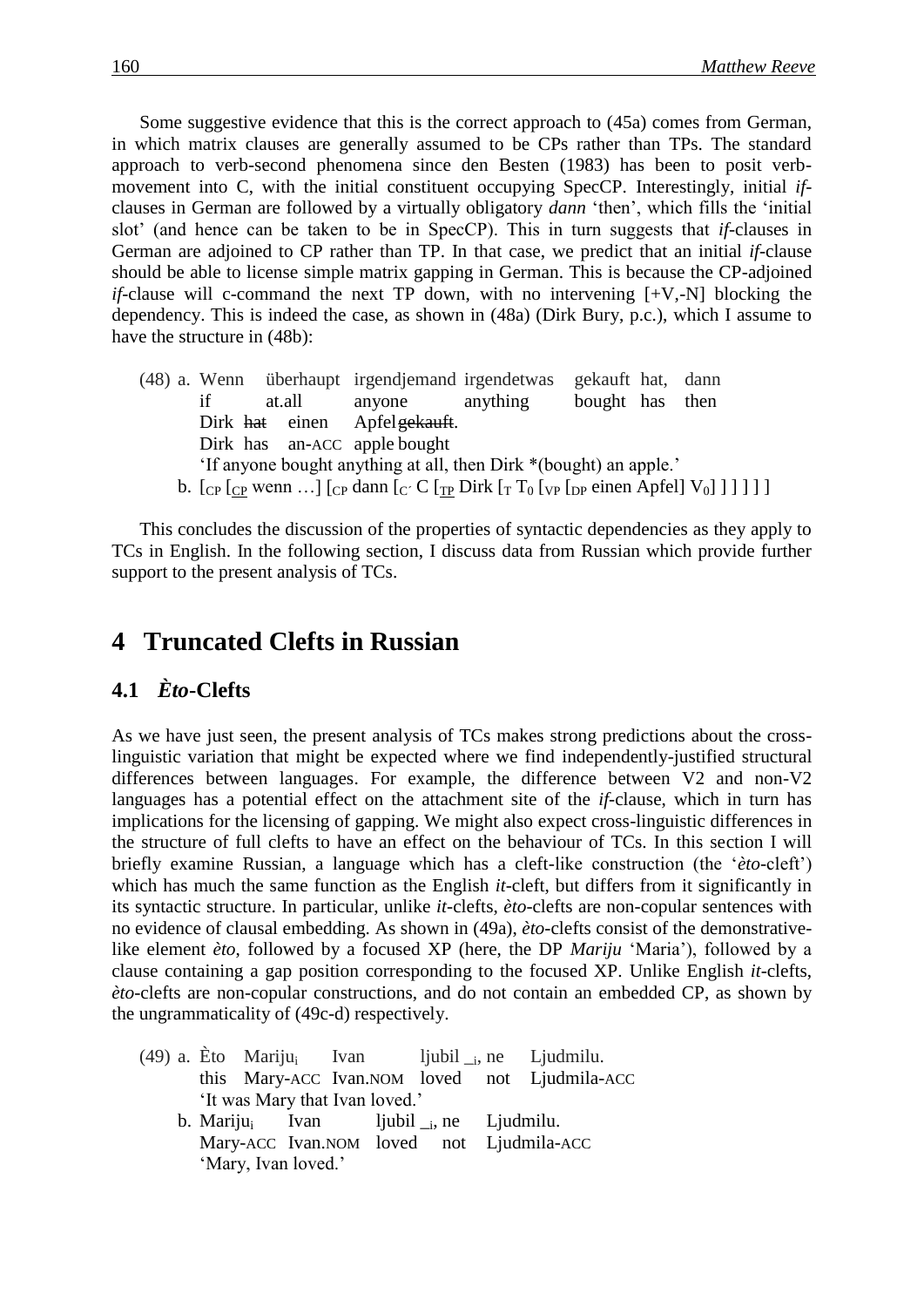Some suggestive evidence that this is the correct approach to [\(45a](#page-17-1)) comes from German, in which matrix clauses are generally assumed to be CPs rather than TPs. The standard approach to verb-second phenomena since den Besten (1983) has been to posit verbmovement into C, with the initial constituent occupying SpecCP. Interestingly, initial *if*clauses in German are followed by a virtually obligatory *dann* 'then', which fills the 'initial slot' (and hence can be taken to be in SpecCP). This in turn suggests that *if*-clauses in German are adjoined to CP rather than TP. In that case, we predict that an initial *if*-clause should be able to license simple matrix gapping in German. This is because the CP-adjoined *if*-clause will c-command the next TP down, with no intervening [+V,-N] blocking the dependency. This is indeed the case, as shown in [\(48a](#page-19-0)) (Dirk Bury, p.c.), which I assume to have the structure in [\(48b](#page-19-0)):

<span id="page-19-0"></span>(48) a. Wenn überhaupt irgendjemand irgendetwas gekauft hat, dann if at.all anyone anything bought has then Dirk hat einen Apfelgekauft. Dirk has an-ACC apple bought 'If anyone bought anything at all, then Dirk \*(bought) an apple.' b.  $\lceil \frac{C_P}{C_P} \rceil$  wenn  $\ldots \rceil$   $\lceil \frac{C_P}{C_P} \rceil$  dann  $\lceil \frac{C}{C_P} \rceil$   $\lceil \frac{C_P}{C_P} \rceil$   $\lceil \frac{C_P}{C_P} \rceil$   $\lceil \frac{C_P}{C_P} \rceil$   $\lceil \frac{C_P}{C_P} \rceil$ 

This concludes the discussion of the properties of syntactic dependencies as they apply to TCs in English. In the following section, I discuss data from Russian which provide further support to the present analysis of TCs.

## **4** Truncated Clefts in Russian

'Mary, Ivan loved.'

### **4.1**xx*Èto***-Clefts**

As we have just seen, the present analysis of TCs makes strong predictions about the crosslinguistic variation that might be expected where we find independently-justified structural differences between languages. For example, the difference between V2 and non-V2 languages has a potential effect on the attachment site of the *if*-clause, which in turn has implications for the licensing of gapping. We might also expect cross-linguistic differences in the structure of full clefts to have an effect on the behaviour of TCs. In this section I will briefly examine Russian, a language which has a cleft-like construction (the '*èto*-cleft') which has much the same function as the English *it*-cleft, but differs from it significantly in its syntactic structure. In particular, unlike *it*-clefts, *èto*-clefts are non-copular sentences with no evidence of clausal embedding. As shown in [\(49a](#page-19-1)), *èto*-clefts consist of the demonstrativelike element *èto*, followed by a focused XP (here, the DP *Mariju* 'Maria'), followed by a clause containing a gap position corresponding to the focused XP. Unlike English *it*-clefts, *èto*-clefts are non-copular constructions, and do not contain an embedded CP, as shown by the ungrammaticality of [\(49c](#page-19-1)-d) respectively.

<span id="page-19-1"></span>(49) a. Èto Mariju<sub>i</sub> Ivan ljubil  $\epsilon$ , ne Ljudmilu. this Mary-ACC Ivan.NOM loved not Ljudmila-ACC 'It was Mary that Ivan loved.' b. Mariju<sub>i</sub> Ivan ljubil  $_{i}$ , ne Ljudmilu. Mary-ACC Ivan.NOM loved not Ljudmila-ACC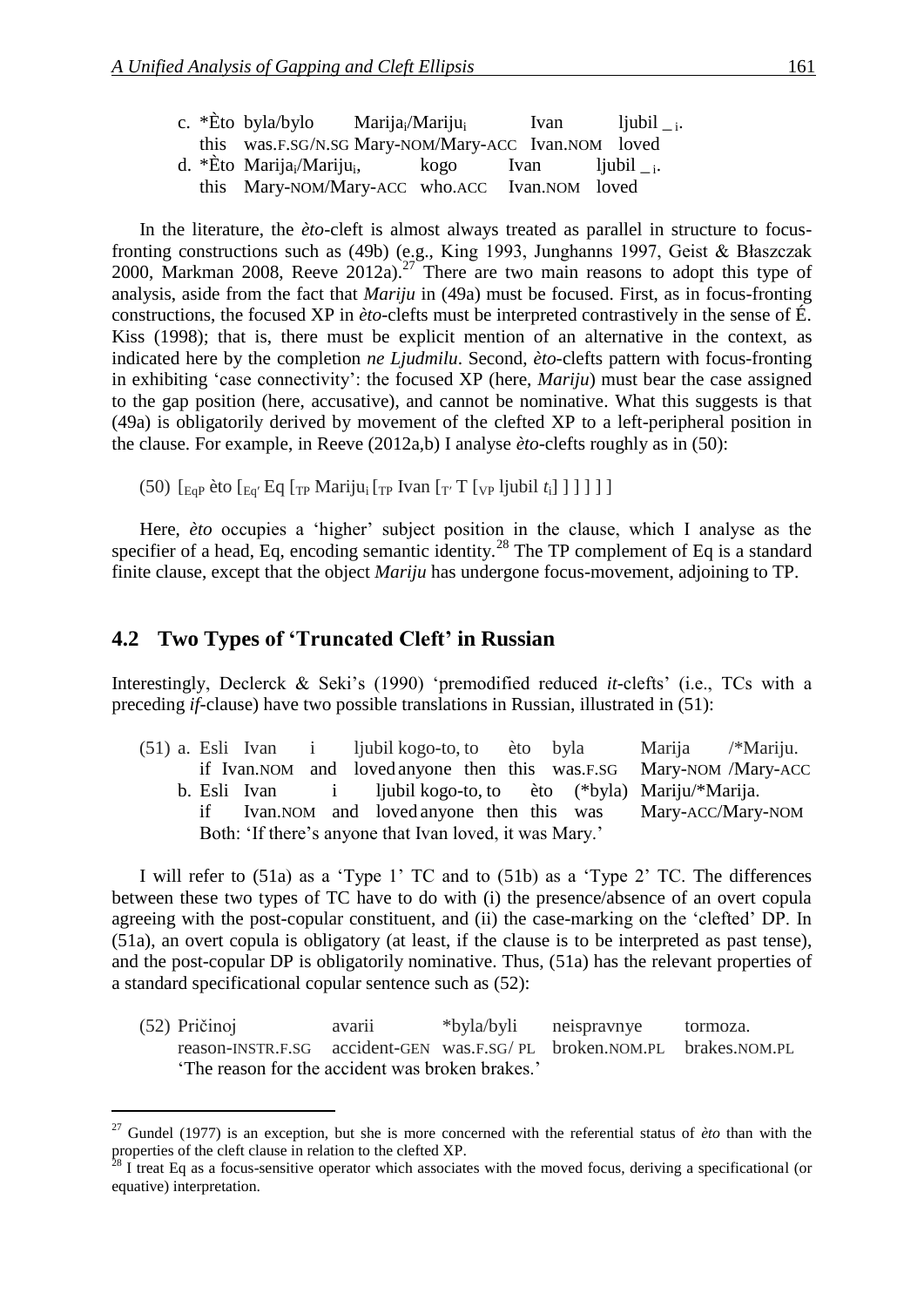|  | c. *Èto byla/bylo                                   | Marija <sub>i</sub> /Mariju <sub>i</sub> | Ivan                           | $1$ jubil $_{-1}$ . |
|--|-----------------------------------------------------|------------------------------------------|--------------------------------|---------------------|
|  | this was.F.SG/N.SG Mary-NOM/Mary-ACC Ivan.NOM loved |                                          |                                |                     |
|  | d. *Èto Marija <sub>i</sub> /Mariju <sub>i</sub> ,  | kogo                                     | Ivan $\qquad$ ljubil $_{-i}$ . |                     |
|  | this Mary-NOM/Mary-ACC who.ACC Ivan.NOM loved       |                                          |                                |                     |

In the literature, the *èto*-cleft is almost always treated as parallel in structure to focusfronting constructions such as [\(49b](#page-19-1)) (e.g., King 1993, Junghanns 1997, Geist & Błaszczak 2000, Markman 2008, Reeve 2012a).<sup>27</sup> There are two main reasons to adopt this type of analysis, aside from the fact that *Mariju* in [\(49a](#page-19-1)) must be focused. First, as in focus-fronting constructions, the focused XP in *èto*-clefts must be interpreted contrastively in the sense of É. Kiss (1998); that is, there must be explicit mention of an alternative in the context, as indicated here by the completion *ne Ljudmilu*. Second, *èto*-clefts pattern with focus-fronting in exhibiting 'case connectivity': the focused XP (here, *Mariju*) must bear the case assigned to the gap position (here, accusative), and cannot be nominative. What this suggests is that [\(49a](#page-19-1)) is obligatorily derived by movement of the clefted XP to a left-peripheral position in the clause. For example, in Reeve (2012a,b) I analyse *èto*-clefts roughly as in [\(50\)](#page-20-0):

<span id="page-20-0"></span>(50)  $\left[\frac{E_{\text{GP}}}{E_{\text{GP}}}$  èto  $\left[\frac{E_{\text{GT}}}{E_{\text{GP}}}$   $\frac{E_{\text{GT}}}{E_{\text{TP}}}$   $\frac{E_{\text{GT}}}{E_{\text{TP}}}$   $\frac{E_{\text{TP}}}{E_{\text{TP}}}$   $\frac{E_{\text{TP}}}{E_{\text{TP}}}$   $\frac{E_{\text{TP}}}{E_{\text{TP}}}$   $\frac{E_{\text{TP}}}{E_{\text{TP}}}$   $\frac{E_{\text{TP}}}{E_{\text{TP}}}$   $\frac{E_{\text{TP}}}{E_{\text{TP}}}$ 

Here, *èto* occupies a 'higher' subject position in the clause, which I analyse as the specifier of a head, Eq, encoding semantic identity.<sup>28</sup> The TP complement of Eq is a standard finite clause, except that the object *Mariju* has undergone focus-movement, adjoining to TP.

### **4.2 Two Types of 'Truncated Cleft' in Russian**

Interestingly, Declerck & Seki's (1990) 'premodified reduced *it*-clefts' (i.e., TCs with a preceding *if*-clause) have two possible translations in Russian, illustrated in [\(51\)](#page-20-1):

<span id="page-20-1"></span>(51) a. Esli Ivan i ljubil kogo-to, to èto byla Marija /\*Mariju. if Ivan.NOM and loved anyone then this was.F.SG Mary-NOM /Mary-ACC b. Esli Ivan i ljubil kogo-to, to èto (\*byla) Mariju/\*Marija. if Ivan.NOM and loved anyone then this was Mary-ACC/Mary-NOM Both: 'If there's anyone that Ivan loved, it was Mary.'

I will refer to [\(51a](#page-20-1)) as a 'Type 1' TC and to [\(51b](#page-20-1)) as a 'Type 2' TC. The differences between these two types of TC have to do with (i) the presence/absence of an overt copula agreeing with the post-copular constituent, and (ii) the case-marking on the 'clefted' DP. In [\(51a](#page-20-1)), an overt copula is obligatory (at least, if the clause is to be interpreted as past tense), and the post-copular DP is obligatorily nominative. Thus, [\(51a](#page-20-1)) has the relevant properties of a standard specificational copular sentence such as [\(52\)](#page-20-2):

<span id="page-20-2"></span>(52) Pričinoj avarii \*byla/byli neispravnye tormoza. reason-INSTR.F.SG accident-GEN was.F.SG/ PL broken.NOM.PL brakes.NOM.PL 'The reason for the accident was broken brakes.'

<sup>27</sup> Gundel (1977) is an exception, but she is more concerned with the referential status of *èto* than with the properties of the cleft clause in relation to the clefted XP.

 $8$  I treat Eq as a focus-sensitive operator which associates with the moved focus, deriving a specificational (or equative) interpretation.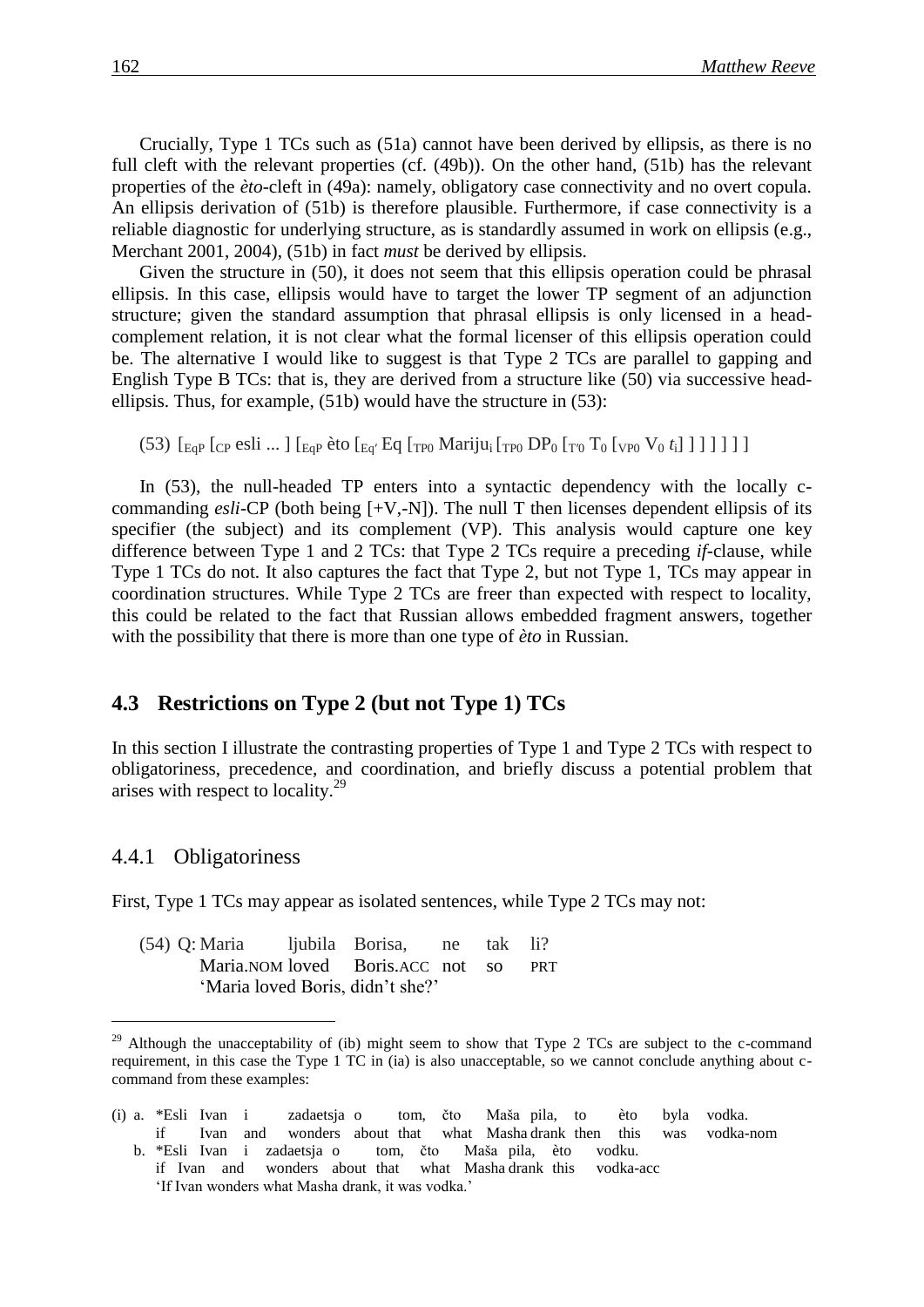Crucially, Type 1 TCs such as [\(51a](#page-20-1)) cannot have been derived by ellipsis, as there is no full cleft with the relevant properties (cf. [\(49b](#page-19-1))). On the other hand, [\(51b](#page-20-1)) has the relevant properties of the *èto*-cleft in [\(49a](#page-19-1)): namely, obligatory case connectivity and no overt copula. An ellipsis derivation of [\(51b](#page-20-1)) is therefore plausible. Furthermore, if case connectivity is a reliable diagnostic for underlying structure, as is standardly assumed in work on ellipsis (e.g., Merchant 2001, 2004), [\(51b](#page-20-1)) in fact *must* be derived by ellipsis.

Given the structure in [\(50\)](#page-20-0), it does not seem that this ellipsis operation could be phrasal ellipsis. In this case, ellipsis would have to target the lower TP segment of an adjunction structure; given the standard assumption that phrasal ellipsis is only licensed in a headcomplement relation, it is not clear what the formal licenser of this ellipsis operation could be. The alternative I would like to suggest is that Type 2 TCs are parallel to gapping and English Type B TCs: that is, they are derived from a structure like [\(50\)](#page-20-0) via successive headellipsis. Thus, for example, [\(51b](#page-20-1)) would have the structure in [\(53\)](#page-21-0):

<span id="page-21-0"></span>(53)  $\left[ E_{\text{GP}} \left[ \text{CP} \text{esli} \dots \right] \left[ E_{\text{QP}} \text{èto} \left[ E_{\text{q}}' \text{Eq} \left[ \text{TP0} \text{ Mariju}_{i} \left[ \text{TP0} \text{DP}_0 \left[ \text{TP0} \text{Y}_0 \left( \text{Y}_0 \right) \right] \right] \right] \right] \right] \right]$ 

In [\(53\)](#page-21-0), the null-headed TP enters into a syntactic dependency with the locally ccommanding *esli*-CP (both being [+V,-N]). The null T then licenses dependent ellipsis of its specifier (the subject) and its complement (VP). This analysis would capture one key difference between Type 1 and 2 TCs: that Type 2 TCs require a preceding *if*-clause, while Type 1 TCs do not. It also captures the fact that Type 2, but not Type 1, TCs may appear in coordination structures. While Type 2 TCs are freer than expected with respect to locality, this could be related to the fact that Russian allows embedded fragment answers, together with the possibility that there is more than one type of *èto* in Russian.

### **4.3** Restrictions on Type 2 (but not Type 1) TCs

In this section I illustrate the contrasting properties of Type 1 and Type 2 TCs with respect to obligatoriness, precedence, and coordination, and briefly discuss a potential problem that arises with respect to locality.<sup>29</sup>

#### 4.4.1 Obligatoriness

First, Type 1 TCs may appear as isolated sentences, while Type 2 TCs may not:

<span id="page-21-1"></span>

| (54) Q: Maria | ljubila Borisa, ne                 | tak li? |            |
|---------------|------------------------------------|---------|------------|
|               | Maria. NOM loved Boris. ACC not so |         | <b>PRT</b> |
|               | 'Maria loved Boris, didn't she?'   |         |            |

<sup>&</sup>lt;sup>29</sup> Although the unacceptability of (ib) might seem to show that Type 2 TCs are subject to the c-command requirement, in this case the Type 1 TC in (ia) is also unacceptable, so we cannot conclude anything about ccommand from these examples:

<sup>(</sup>i) a. \*Esli Ivan i zadaetsja o tom, čto Maša pila, to èto byla vodka. if Ivan and wonders about that what Masha drank then this was vodka-nom b. \*Esli Ivan i zadaetsja o tom, čto Maša pila, èto vodku.

if Ivan and wonders about that what Masha drank this vodka-acc 'If Ivan wonders what Masha drank, it was vodka.'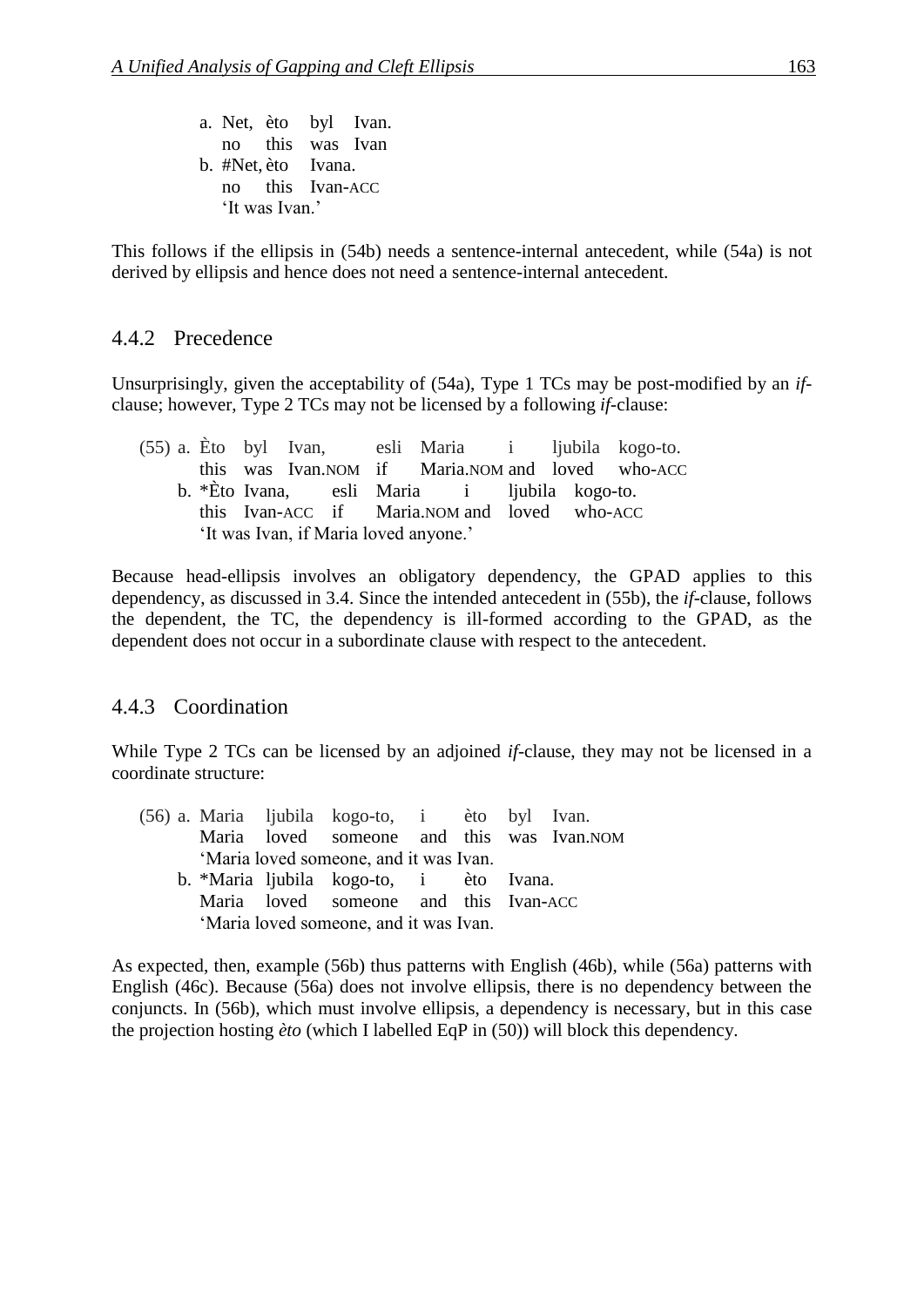a. Net, èto byl Ivan. no this was Ivan b. #Net, èto Ivana. no this Ivan-ACC 'It was Ivan.'

This follows if the ellipsis in [\(54b](#page-21-1)) needs a sentence-internal antecedent, while [\(54a](#page-21-1)) is not derived by ellipsis and hence does not need a sentence-internal antecedent.

### 4.4.2 Precedence

Unsurprisingly, given the acceptability of [\(54a](#page-21-1)), Type 1 TCs may be post-modified by an *if*clause; however, Type 2 TCs may not be licensed by a following *if*-clause:

<span id="page-22-0"></span>

|                                       |  |  |  |  |  |                                              |  |  |  |  | (55) a. Eto byl Ivan, esli Maria i ljubila kogo-to. |
|---------------------------------------|--|--|--|--|--|----------------------------------------------|--|--|--|--|-----------------------------------------------------|
|                                       |  |  |  |  |  |                                              |  |  |  |  | this was Ivan. NOM if Maria. NOM and loved who-ACC  |
|                                       |  |  |  |  |  | b. *Èto Ivana, esli Maria i ljubila kogo-to. |  |  |  |  |                                                     |
|                                       |  |  |  |  |  | this Ivan-ACC if Maria.NOM and loved who-ACC |  |  |  |  |                                                     |
| 'It was Ivan, if Maria loved anyone.' |  |  |  |  |  |                                              |  |  |  |  |                                                     |

Because head-ellipsis involves an obligatory dependency, the GPAD applies to this dependency, as discussed in 3.4. Since the intended antecedent in [\(55b](#page-22-0)), the *if*-clause, follows the dependent, the TC, the dependency is ill-formed according to the GPAD, as the dependent does not occur in a subordinate clause with respect to the antecedent.

### 4.4.3 Coordination

While Type 2 TCs can be licensed by an adjoined *if*-clause, they may not be licensed in a coordinate structure:

<span id="page-22-1"></span>

|                                        |                                        |  |  | (56) a. Maria ljubila kogo-to, i èto byl Ivan. |  |  |  |  |  |  |  |
|----------------------------------------|----------------------------------------|--|--|------------------------------------------------|--|--|--|--|--|--|--|
|                                        |                                        |  |  | Maria loved someone and this was Ivan.NOM      |  |  |  |  |  |  |  |
|                                        | 'Maria loved someone, and it was Ivan. |  |  |                                                |  |  |  |  |  |  |  |
|                                        |                                        |  |  | b. *Maria ljubila kogo-to, i èto Ivana.        |  |  |  |  |  |  |  |
|                                        |                                        |  |  | Maria loved someone and this Ivan-ACC          |  |  |  |  |  |  |  |
| 'Maria loved someone, and it was Ivan. |                                        |  |  |                                                |  |  |  |  |  |  |  |
|                                        |                                        |  |  |                                                |  |  |  |  |  |  |  |

As expected, then, example [\(56b](#page-22-1)) thus patterns with English [\(46b](#page-18-0)), while [\(56a](#page-22-1)) patterns with English [\(46c](#page-18-0)). Because [\(56a](#page-22-1)) does not involve ellipsis, there is no dependency between the conjuncts. In [\(56b](#page-22-1)), which must involve ellipsis, a dependency is necessary, but in this case the projection hosting *èto* (which I labelled EqP in [\(50\)](#page-20-0)) will block this dependency.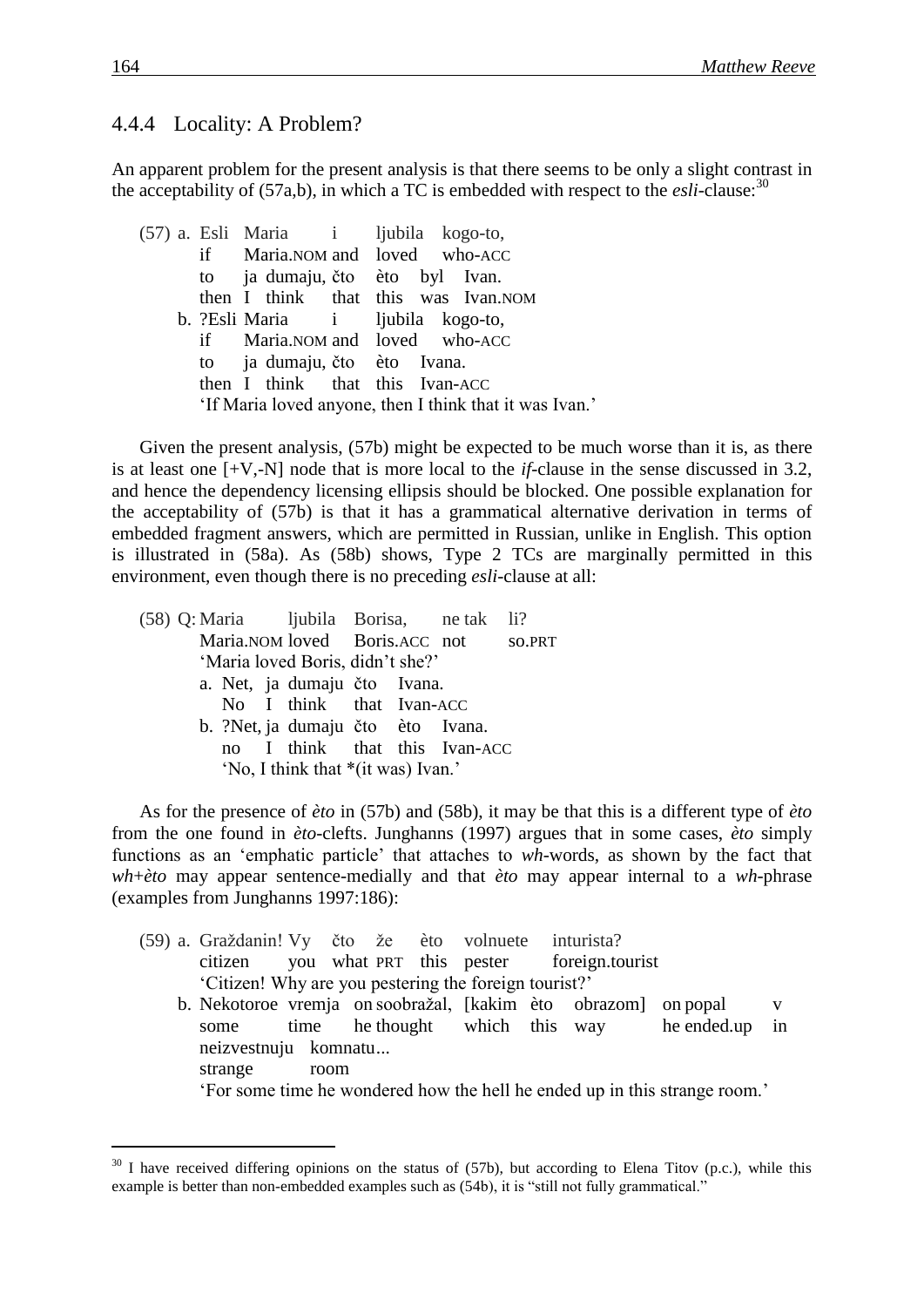### 4.4.4 Locality: A Problem?

An apparent problem for the present analysis is that there seems to be only a slight contrast in the acceptability of  $(57a,b)$  $(57a,b)$ , in which a TC is embedded with respect to the *esli*-clause:<sup>30</sup>

<span id="page-23-0"></span>(57) a. Esli Maria i ljubila kogo-to, if Maria.NOM and loved who-ACC to ja dumaju, čto èto byl Ivan. then I think that this was Ivan.NOM b. ?Esli Maria i ljubila kogo-to, if Maria.NOM and loved who-ACC to ja dumaju, čto èto Ivana. then I think that this Ivan-ACC 'If Maria loved anyone, then I think that it was Ivan.'

Given the present analysis, [\(57b](#page-23-0)) might be expected to be much worse than it is, as there is at least one [+V,-N] node that is more local to the *if*-clause in the sense discussed in 3.2, and hence the dependency licensing ellipsis should be blocked. One possible explanation for the acceptability of [\(57b](#page-23-0)) is that it has a grammatical alternative derivation in terms of embedded fragment answers, which are permitted in Russian, unlike in English. This option is illustrated in [\(58a](#page-23-1)). As [\(58b](#page-23-1)) shows, Type 2 TCs are marginally permitted in this environment, even though there is no preceding *esli*-clause at all:

<span id="page-23-1"></span>

|  |  | (58) Q: Maria ljubila Borisa, ne tak li? |  |  |
|--|--|------------------------------------------|--|--|
|  |  | Maria.NOM loved Boris.ACC not so.PRT     |  |  |
|  |  | 'Maria loved Boris, didn't she?'         |  |  |
|  |  | a. Net, ja dumaju čto Ivana.             |  |  |
|  |  | No I think that Ivan-ACC                 |  |  |
|  |  | b. ?Net, ja dumaju čto èto Ivana.        |  |  |
|  |  | no I think that this Ivan-ACC            |  |  |
|  |  | 'No, I think that *(it was) Ivan.'       |  |  |
|  |  |                                          |  |  |

As for the presence of *èto* in [\(57b](#page-23-0)) and [\(58b](#page-23-1)), it may be that this is a different type of *èto* from the one found in *èto*-clefts. Junghanns (1997) argues that in some cases, *èto* simply functions as an 'emphatic particle' that attaches to *wh*-words, as shown by the fact that *wh*+*èto* may appear sentence-medially and that *èto* may appear internal to a *wh*-phrase (examples from Junghanns 1997:186):

<span id="page-23-2"></span>

|                                                       | (59) a. Graždanin! Vy čto že èto volnuete inturista? |  |      |  |  |  |  |                                                                |                                                                           |   |  |  |
|-------------------------------------------------------|------------------------------------------------------|--|------|--|--|--|--|----------------------------------------------------------------|---------------------------------------------------------------------------|---|--|--|
|                                                       |                                                      |  |      |  |  |  |  | citizen you what PRT this pester foreign.tourist               |                                                                           |   |  |  |
| 'Citizen! Why are you pestering the foreign tourist?' |                                                      |  |      |  |  |  |  |                                                                |                                                                           |   |  |  |
|                                                       |                                                      |  |      |  |  |  |  | b. Nekotoroe vremja on soobražal, [kakim èto obrazom] on popal |                                                                           | V |  |  |
|                                                       |                                                      |  |      |  |  |  |  |                                                                | some time he thought which this way he ended up in                        |   |  |  |
|                                                       | neizvestnuju komnatu                                 |  |      |  |  |  |  |                                                                |                                                                           |   |  |  |
|                                                       | strange                                              |  | room |  |  |  |  |                                                                |                                                                           |   |  |  |
|                                                       |                                                      |  |      |  |  |  |  |                                                                | For some time he wondered how the hell he ended up in this strange room.' |   |  |  |

 $30$  I have received differing opinions on the status of [\(57b](#page-23-0)), but according to Elena Titov (p.c.), while this example is better than non-embedded examples such as [\(54b](#page-21-1)), it is "still not fully grammatical."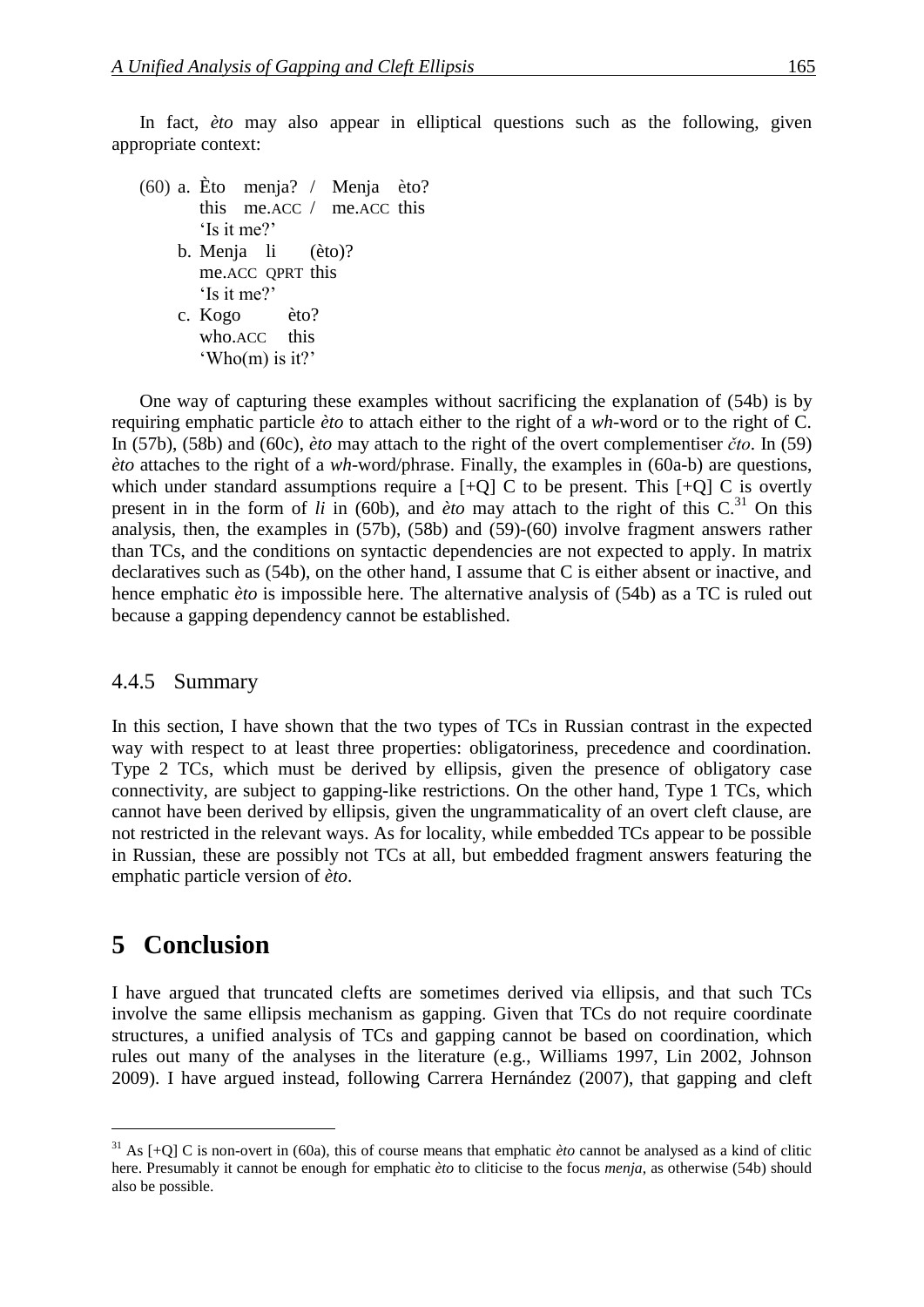In fact, *èto* may also appear in elliptical questions such as the following, given appropriate context:

<span id="page-24-0"></span>(60) a. Èto menja? / Menja èto? this me.ACC / me.ACC this 'Is it me?' b. Menja li (èto)? me.ACC QPRT this 'Is it me?' c. Kogo èto? who.ACC this 'Who(m) is it?'

One way of capturing these examples without sacrificing the explanation of [\(54b](#page-21-1)) is by requiring emphatic particle *èto* to attach either to the right of a *wh*-word or to the right of C. In [\(57b](#page-23-0)), [\(58b](#page-23-1)) and [\(60c](#page-24-0)), *èto* may attach to the right of the overt complementiser *čto*. In [\(59\)](#page-23-2) *èto* attaches to the right of a *wh*-word/phrase. Finally, the examples in [\(60a](#page-24-0)-b) are questions, which under standard assumptions require a  $[+Q]$  C to be present. This  $[+Q]$  C is overtly present in in the form of *li* in [\(60b](#page-24-0)), and *èto* may attach to the right of this  $C<sup>31</sup>$ . On this analysis, then, the examples in [\(57b](#page-23-0)), [\(58b](#page-23-1)) and [\(59\)](#page-23-2)-[\(60\)](#page-24-0) involve fragment answers rather than TCs, and the conditions on syntactic dependencies are not expected to apply. In matrix declaratives such as [\(54b](#page-21-1)), on the other hand, I assume that C is either absent or inactive, and hence emphatic *èto* is impossible here. The alternative analysis of [\(54b](#page-21-1)) as a TC is ruled out because a gapping dependency cannot be established.

### 4.4.5 Summary

In this section, I have shown that the two types of TCs in Russian contrast in the expected way with respect to at least three properties: obligatoriness, precedence and coordination. Type 2 TCs, which must be derived by ellipsis, given the presence of obligatory case connectivity, are subject to gapping-like restrictions. On the other hand, Type 1 TCs, which cannot have been derived by ellipsis, given the ungrammaticality of an overt cleft clause, are not restricted in the relevant ways. As for locality, while embedded TCs appear to be possible in Russian, these are possibly not TCs at all, but embedded fragment answers featuring the emphatic particle version of *èto*.

### **5** Conclusion

I have argued that truncated clefts are sometimes derived via ellipsis, and that such TCs involve the same ellipsis mechanism as gapping. Given that TCs do not require coordinate structures, a unified analysis of TCs and gapping cannot be based on coordination, which rules out many of the analyses in the literature (e.g., Williams 1997, Lin 2002, Johnson 2009). I have argued instead, following Carrera Hernández (2007), that gapping and cleft

<sup>&</sup>lt;sup>31</sup> As  $[+O]$  C is non-overt in [\(60a](#page-24-0)), this of course means that emphatic *èto* cannot be analysed as a kind of clitic here. Presumably it cannot be enough for emphatic *èto* to cliticise to the focus *menja*, as otherwise [\(54b](#page-21-1)) should also be possible.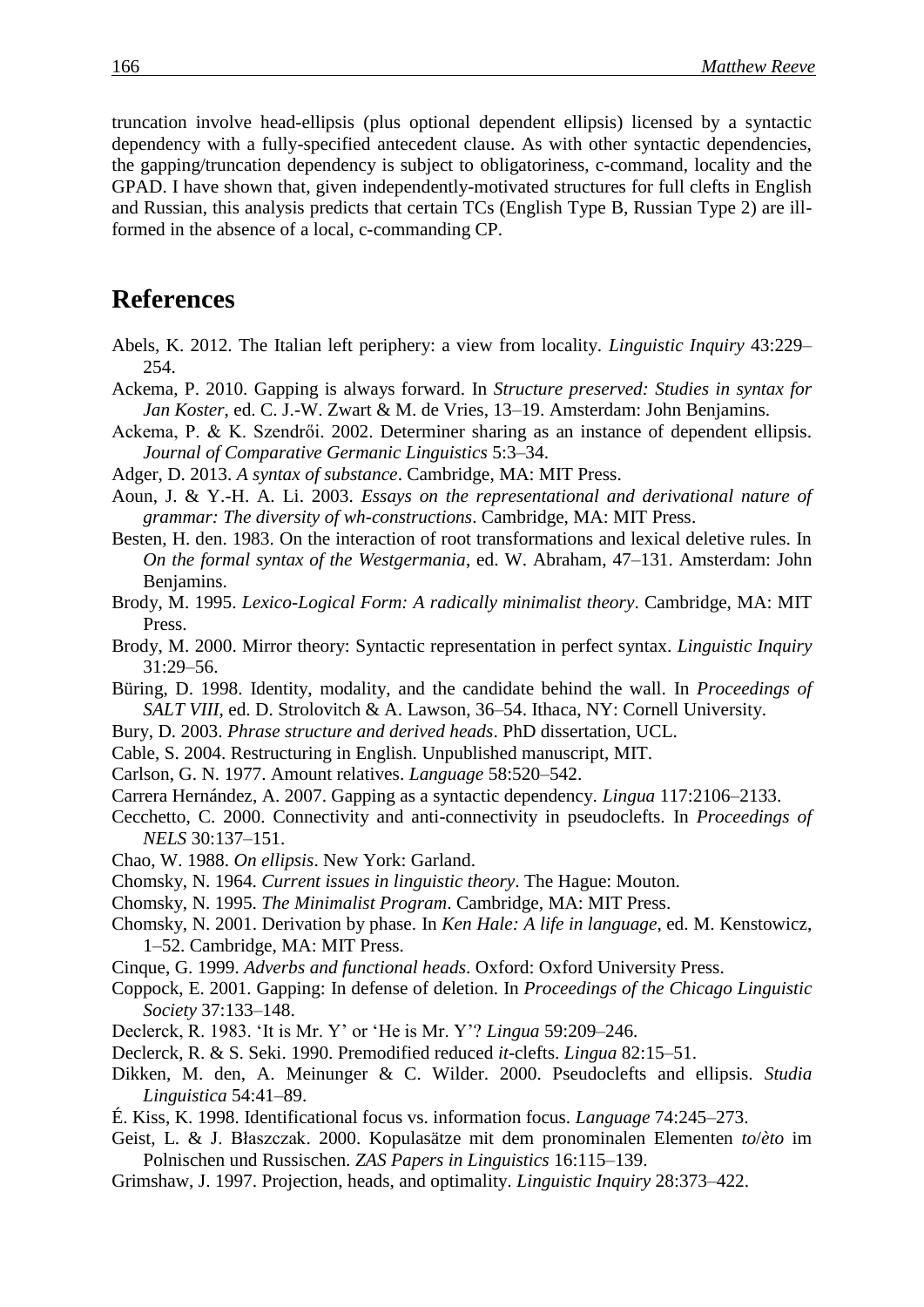truncation involve head-ellipsis (plus optional dependent ellipsis) licensed by a syntactic dependency with a fully-specified antecedent clause. As with other syntactic dependencies, the gapping/truncation dependency is subject to obligatoriness, c-command, locality and the GPAD. I have shown that, given independently-motivated structures for full clefts in English and Russian, this analysis predicts that certain TCs (English Type B, Russian Type 2) are illformed in the absence of a local, c-commanding CP.

## **References**

- Abels, K. 2012. The Italian left periphery: a view from locality. *Linguistic Inquiry* 43:229– 254.
- Ackema, P. 2010. Gapping is always forward. In *Structure preserved: Studies in syntax for Jan Koster*, ed. C. J.-W. Zwart & M. de Vries, 13–19. Amsterdam: John Benjamins.

Ackema, P. & K. Szendrői. 2002. Determiner sharing as an instance of dependent ellipsis. *Journal of Comparative Germanic Linguistics* 5:3–34.

- Adger, D. 2013. *A syntax of substance*. Cambridge, MA: MIT Press.
- Aoun, J. & Y.-H. A. Li. 2003. *Essays on the representational and derivational nature of grammar: The diversity of wh-constructions*. Cambridge, MA: MIT Press.
- Besten, H. den. 1983. On the interaction of root transformations and lexical deletive rules. In *On the formal syntax of the Westgermania*, ed. W. Abraham, 47–131. Amsterdam: John Benjamins.
- Brody, M. 1995. *Lexico-Logical Form: A radically minimalist theory*. Cambridge, MA: MIT Press.
- Brody, M. 2000. Mirror theory: Syntactic representation in perfect syntax. *Linguistic Inquiry*  31:29–56.
- Büring, D. 1998. Identity, modality, and the candidate behind the wall. In *Proceedings of SALT VIII*, ed. D. Strolovitch & A. Lawson, 36–54. Ithaca, NY: Cornell University.
- Bury, D. 2003. *Phrase structure and derived heads*. PhD dissertation, UCL.
- Cable, S. 2004. Restructuring in English. Unpublished manuscript, MIT.
- Carlson, G. N. 1977. Amount relatives. *Language* 58:520–542.
- Carrera Hernández, A. 2007. Gapping as a syntactic dependency. *Lingua* 117:2106–2133.
- Cecchetto, C. 2000. Connectivity and anti-connectivity in pseudoclefts. In *Proceedings of NELS* 30:137–151.
- Chao, W. 1988. *On ellipsis*. New York: Garland.
- Chomsky, N. 1964. *Current issues in linguistic theory*. The Hague: Mouton.
- Chomsky, N. 1995. *The Minimalist Program*. Cambridge, MA: MIT Press.
- Chomsky, N. 2001. Derivation by phase. In *Ken Hale: A life in language*, ed. M. Kenstowicz, 1–52. Cambridge, MA: MIT Press.
- Cinque, G. 1999. *Adverbs and functional heads*. Oxford: Oxford University Press.
- Coppock, E. 2001. Gapping: In defense of deletion. In *Proceedings of the Chicago Linguistic Society* 37:133–148.
- Declerck, R. 1983. 'It is Mr. Y' or 'He is Mr. Y'? *Lingua* 59:209–246.
- Declerck, R. & S. Seki. 1990. Premodified reduced *it*-clefts. *Lingua* 82:15–51.
- Dikken, M. den, A. Meinunger & C. Wilder. 2000. Pseudoclefts and ellipsis. *Studia Linguistica* 54:41–89.
- É. Kiss, K. 1998. Identificational focus vs. information focus. *Language* 74:245–273.
- Geist, L. & J. Błaszczak. 2000. Kopulasätze mit dem pronominalen Elementen *to*/*èto* im Polnischen und Russischen. *ZAS Papers in Linguistics* 16:115–139.
- Grimshaw, J. 1997. Projection, heads, and optimality. *Linguistic Inquiry* 28:373–422.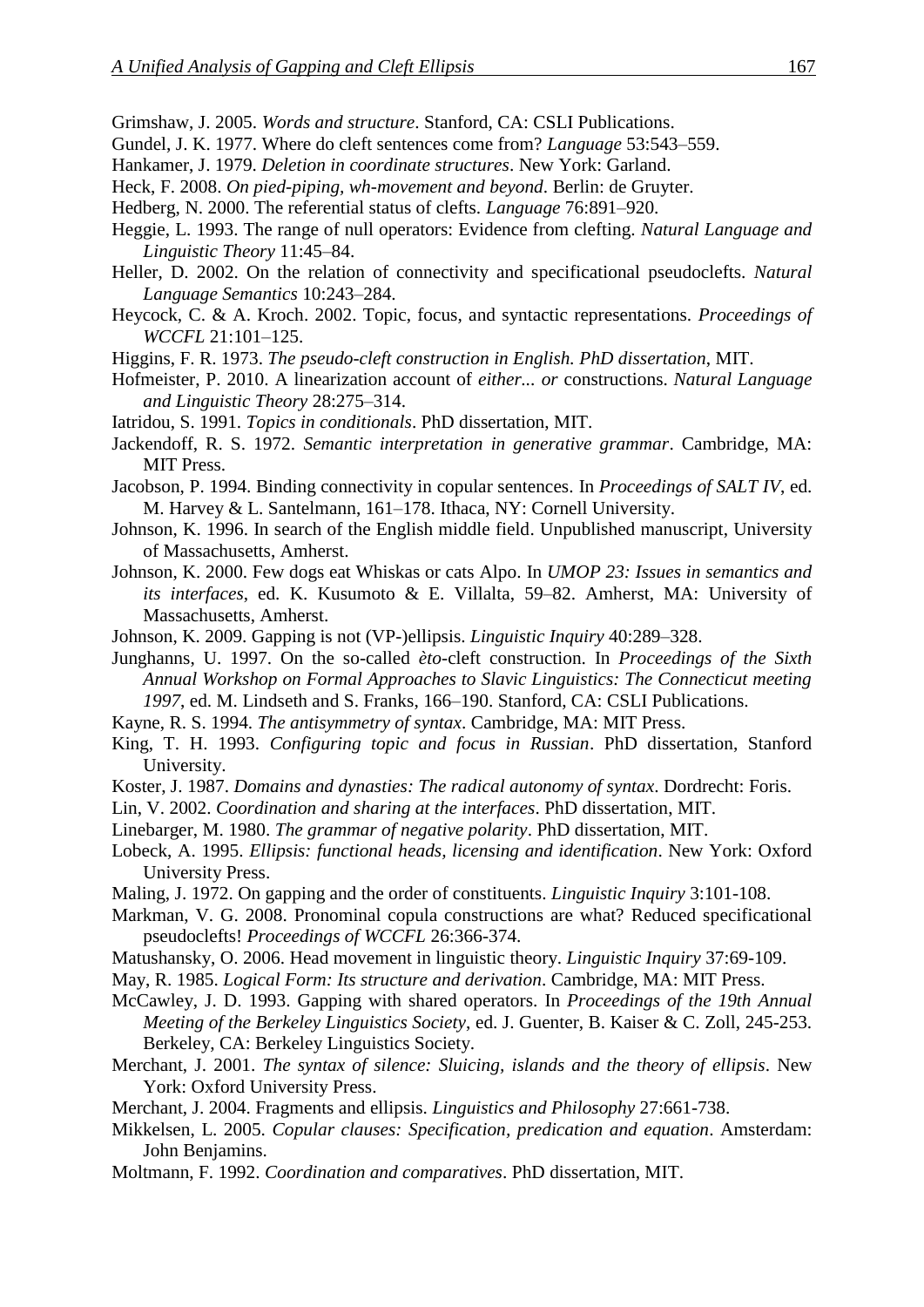- Grimshaw, J. 2005. *Words and structure*. Stanford, CA: CSLI Publications.
- Gundel, J. K. 1977. Where do cleft sentences come from? *Language* 53:543–559.
- Hankamer, J. 1979. *Deletion in coordinate structures*. New York: Garland.
- Heck, F. 2008. *On pied-piping, wh-movement and beyond*. Berlin: de Gruyter.
- Hedberg, N. 2000. The referential status of clefts. *Language* 76:891–920.
- Heggie, L. 1993. The range of null operators: Evidence from clefting. *Natural Language and Linguistic Theory* 11:45–84.
- Heller, D. 2002. On the relation of connectivity and specificational pseudoclefts. *Natural Language Semantics* 10:243–284.
- Heycock, C. & A. Kroch. 2002. Topic, focus, and syntactic representations. *Proceedings of WCCFL* 21:101–125.
- Higgins, F. R. 1973. *The pseudo-cleft construction in English. PhD dissertation*, MIT.
- Hofmeister, P. 2010. A linearization account of *either... or* constructions. *Natural Language and Linguistic Theory* 28:275–314.
- Iatridou, S. 1991. *Topics in conditionals*. PhD dissertation, MIT.
- Jackendoff, R. S. 1972. *Semantic interpretation in generative grammar*. Cambridge, MA: MIT Press.
- Jacobson, P. 1994. Binding connectivity in copular sentences. In *Proceedings of SALT IV*, ed. M. Harvey & L. Santelmann, 161–178. Ithaca, NY: Cornell University.
- Johnson, K. 1996. In search of the English middle field. Unpublished manuscript, University of Massachusetts, Amherst.
- Johnson, K. 2000. Few dogs eat Whiskas or cats Alpo. In *UMOP 23: Issues in semantics and its interfaces*, ed. K. Kusumoto & E. Villalta, 59–82. Amherst, MA: University of Massachusetts, Amherst.
- Johnson, K. 2009. Gapping is not (VP-)ellipsis. *Linguistic Inquiry* 40:289–328.
- Junghanns, U. 1997. On the so-called *èto*-cleft construction. In *Proceedings of the Sixth Annual Workshop on Formal Approaches to Slavic Linguistics: The Connecticut meeting 1997*, ed. M. Lindseth and S. Franks, 166–190. Stanford, CA: CSLI Publications.
- Kayne, R. S. 1994. *The antisymmetry of syntax*. Cambridge, MA: MIT Press.
- King, T. H. 1993. *Configuring topic and focus in Russian*. PhD dissertation, Stanford University.
- Koster, J. 1987. *Domains and dynasties: The radical autonomy of syntax*. Dordrecht: Foris.
- Lin, V. 2002. *Coordination and sharing at the interfaces*. PhD dissertation, MIT.
- Linebarger, M. 1980. *The grammar of negative polarity*. PhD dissertation, MIT.
- Lobeck, A. 1995. *Ellipsis: functional heads, licensing and identification*. New York: Oxford University Press.
- Maling, J. 1972. On gapping and the order of constituents. *Linguistic Inquiry* 3:101-108.
- Markman, V. G. 2008. Pronominal copula constructions are what? Reduced specificational pseudoclefts! *Proceedings of WCCFL* 26:366-374.
- Matushansky, O. 2006. Head movement in linguistic theory. *Linguistic Inquiry* 37:69-109.
- May, R. 1985. *Logical Form: Its structure and derivation*. Cambridge, MA: MIT Press.
- McCawley, J. D. 1993. Gapping with shared operators. In *Proceedings of the 19th Annual Meeting of the Berkeley Linguistics Society*, ed. J. Guenter, B. Kaiser & C. Zoll, 245-253. Berkeley, CA: Berkeley Linguistics Society.
- Merchant, J. 2001. *The syntax of silence: Sluicing, islands and the theory of ellipsis*. New York: Oxford University Press.
- Merchant, J. 2004. Fragments and ellipsis. *Linguistics and Philosophy* 27:661-738.
- Mikkelsen, L. 2005. *Copular clauses: Specification, predication and equation*. Amsterdam: John Benjamins.
- Moltmann, F. 1992. *Coordination and comparatives*. PhD dissertation, MIT.